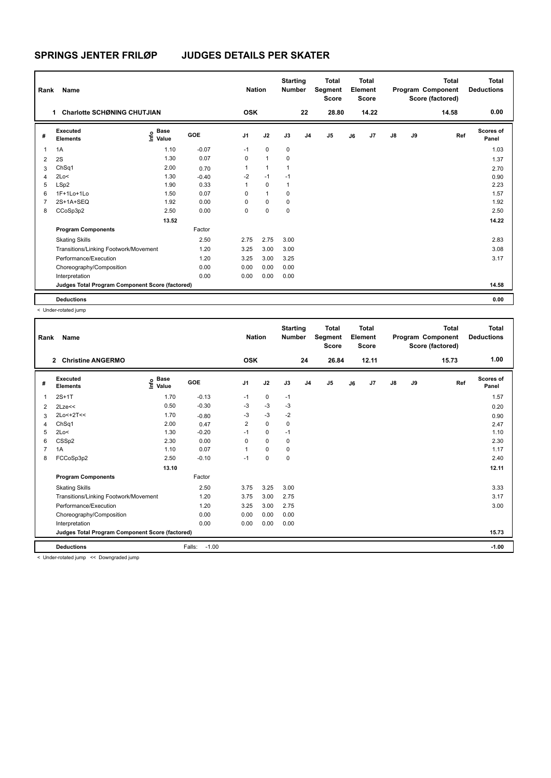| Rank           | Name                                            |                                  |         | <b>Nation</b>  |              | <b>Starting</b><br><b>Number</b> |                | <b>Total</b><br>Segment<br><b>Score</b> |    | <b>Total</b><br>Element<br><b>Score</b> |               |    | <b>Total</b><br>Program Component<br>Score (factored) | <b>Total</b><br><b>Deductions</b> |
|----------------|-------------------------------------------------|----------------------------------|---------|----------------|--------------|----------------------------------|----------------|-----------------------------------------|----|-----------------------------------------|---------------|----|-------------------------------------------------------|-----------------------------------|
|                | <b>Charlotte SCHØNING CHUTJIAN</b><br>1         |                                  |         | <b>OSK</b>     |              |                                  | 22             | 28.80                                   |    | 14.22                                   |               |    | 14.58                                                 | 0.00                              |
| #              | Executed<br><b>Elements</b>                     | <b>Base</b><br>e Base<br>⊆ Value | GOE     | J <sub>1</sub> | J2           | J3                               | J <sub>4</sub> | J <sub>5</sub>                          | J6 | J7                                      | $\mathsf{J}8$ | J9 | Ref                                                   | Scores of<br>Panel                |
| 1              | 1A                                              | 1.10                             | $-0.07$ | $-1$           | $\mathbf 0$  | 0                                |                |                                         |    |                                         |               |    |                                                       | 1.03                              |
| 2              | 2S                                              | 1.30                             | 0.07    | 0              | $\mathbf{1}$ | 0                                |                |                                         |    |                                         |               |    |                                                       | 1.37                              |
| 3              | ChSq1                                           | 2.00                             | 0.70    | 1              | $\mathbf{1}$ | 1                                |                |                                         |    |                                         |               |    |                                                       | 2.70                              |
| 4              | 2Lo<                                            | 1.30                             | $-0.40$ | $-2$           | $-1$         | $-1$                             |                |                                         |    |                                         |               |    |                                                       | 0.90                              |
| 5              | LSp2                                            | 1.90                             | 0.33    | $\mathbf{1}$   | $\Omega$     | $\mathbf{1}$                     |                |                                         |    |                                         |               |    |                                                       | 2.23                              |
| 6              | 1F+1Lo+1Lo                                      | 1.50                             | 0.07    | 0              | $\mathbf{1}$ | 0                                |                |                                         |    |                                         |               |    |                                                       | 1.57                              |
| $\overline{7}$ | 2S+1A+SEQ                                       | 1.92                             | 0.00    | 0              | $\Omega$     | $\Omega$                         |                |                                         |    |                                         |               |    |                                                       | 1.92                              |
| 8              | CCoSp3p2                                        | 2.50                             | 0.00    | 0              | $\mathbf 0$  | 0                                |                |                                         |    |                                         |               |    |                                                       | 2.50                              |
|                |                                                 | 13.52                            |         |                |              |                                  |                |                                         |    |                                         |               |    |                                                       | 14.22                             |
|                | <b>Program Components</b>                       |                                  | Factor  |                |              |                                  |                |                                         |    |                                         |               |    |                                                       |                                   |
|                | <b>Skating Skills</b>                           |                                  | 2.50    | 2.75           | 2.75         | 3.00                             |                |                                         |    |                                         |               |    |                                                       | 2.83                              |
|                | Transitions/Linking Footwork/Movement           |                                  | 1.20    | 3.25           | 3.00         | 3.00                             |                |                                         |    |                                         |               |    |                                                       | 3.08                              |
|                | Performance/Execution                           |                                  | 1.20    | 3.25           | 3.00         | 3.25                             |                |                                         |    |                                         |               |    |                                                       | 3.17                              |
|                | Choreography/Composition                        |                                  | 0.00    | 0.00           | 0.00         | 0.00                             |                |                                         |    |                                         |               |    |                                                       |                                   |
|                | Interpretation                                  |                                  | 0.00    | 0.00           | 0.00         | 0.00                             |                |                                         |    |                                         |               |    |                                                       |                                   |
|                | Judges Total Program Component Score (factored) |                                  |         |                |              |                                  |                |                                         |    |                                         |               |    |                                                       | 14.58                             |
|                | <b>Deductions</b>                               |                                  |         |                |              |                                  |                |                                         |    |                                         |               |    |                                                       | 0.00                              |

< Under-rotated jump

| Rank           | <b>Name</b>                                     |                              |                   | <b>Nation</b>  |      | <b>Starting</b><br><b>Number</b> |                | <b>Total</b><br>Segment<br><b>Score</b> |    | <b>Total</b><br>Element<br><b>Score</b> |               |    | <b>Total</b><br>Program Component<br>Score (factored) | <b>Total</b><br><b>Deductions</b> |
|----------------|-------------------------------------------------|------------------------------|-------------------|----------------|------|----------------------------------|----------------|-----------------------------------------|----|-----------------------------------------|---------------|----|-------------------------------------------------------|-----------------------------------|
|                | $\mathbf{2}$<br><b>Christine ANGERMO</b>        |                              |                   | <b>OSK</b>     |      |                                  | 24             | 26.84                                   |    | 12.11                                   |               |    | 15.73                                                 | 1.00                              |
| #              | Executed<br><b>Elements</b>                     | <b>Base</b><br>١nfo<br>Value | GOE               | J <sub>1</sub> | J2   | J3                               | J <sub>4</sub> | J <sub>5</sub>                          | J6 | J7                                      | $\mathsf{J}8$ | J9 | Ref                                                   | <b>Scores of</b><br>Panel         |
| 1              | $2S+1T$                                         | 1.70                         | $-0.13$           | $-1$           | 0    | $-1$                             |                |                                         |    |                                         |               |    |                                                       | 1.57                              |
| 2              | 2Lze<<                                          | 0.50                         | $-0.30$           | $-3$           | $-3$ | $-3$                             |                |                                         |    |                                         |               |    |                                                       | 0.20                              |
| 3              | $2Lo<+2T<<$                                     | 1.70                         | $-0.80$           | $-3$           | $-3$ | $-2$                             |                |                                         |    |                                         |               |    |                                                       | 0.90                              |
| 4              | ChSq1                                           | 2.00                         | 0.47              | $\overline{2}$ | 0    | 0                                |                |                                         |    |                                         |               |    |                                                       | 2.47                              |
| 5              | 2Lo<                                            | 1.30                         | $-0.20$           | $-1$           | 0    | $-1$                             |                |                                         |    |                                         |               |    |                                                       | 1.10                              |
| 6              | CSSp2                                           | 2.30                         | 0.00              | $\Omega$       | 0    | 0                                |                |                                         |    |                                         |               |    |                                                       | 2.30                              |
| $\overline{7}$ | 1A                                              | 1.10                         | 0.07              | 1              | 0    | 0                                |                |                                         |    |                                         |               |    |                                                       | 1.17                              |
| 8              | FCCoSp3p2                                       | 2.50                         | $-0.10$           | $-1$           | 0    | 0                                |                |                                         |    |                                         |               |    |                                                       | 2.40                              |
|                |                                                 | 13.10                        |                   |                |      |                                  |                |                                         |    |                                         |               |    |                                                       | 12.11                             |
|                | <b>Program Components</b>                       |                              | Factor            |                |      |                                  |                |                                         |    |                                         |               |    |                                                       |                                   |
|                | <b>Skating Skills</b>                           |                              | 2.50              | 3.75           | 3.25 | 3.00                             |                |                                         |    |                                         |               |    |                                                       | 3.33                              |
|                | Transitions/Linking Footwork/Movement           |                              | 1.20              | 3.75           | 3.00 | 2.75                             |                |                                         |    |                                         |               |    |                                                       | 3.17                              |
|                | Performance/Execution                           |                              | 1.20              | 3.25           | 3.00 | 2.75                             |                |                                         |    |                                         |               |    |                                                       | 3.00                              |
|                | Choreography/Composition                        |                              | 0.00              | 0.00           | 0.00 | 0.00                             |                |                                         |    |                                         |               |    |                                                       |                                   |
|                | Interpretation                                  |                              | 0.00              | 0.00           | 0.00 | 0.00                             |                |                                         |    |                                         |               |    |                                                       |                                   |
|                | Judges Total Program Component Score (factored) |                              |                   |                |      |                                  |                |                                         |    |                                         |               |    |                                                       | 15.73                             |
|                | <b>Deductions</b>                               |                              | $-1.00$<br>Falls: |                |      |                                  |                |                                         |    |                                         |               |    |                                                       | $-1.00$                           |
|                | c Under-rotated jumn cc Downgraded jumn         |                              |                   |                |      |                                  |                |                                         |    |                                         |               |    |                                                       |                                   |

< Under-rotated jump << Downgraded jump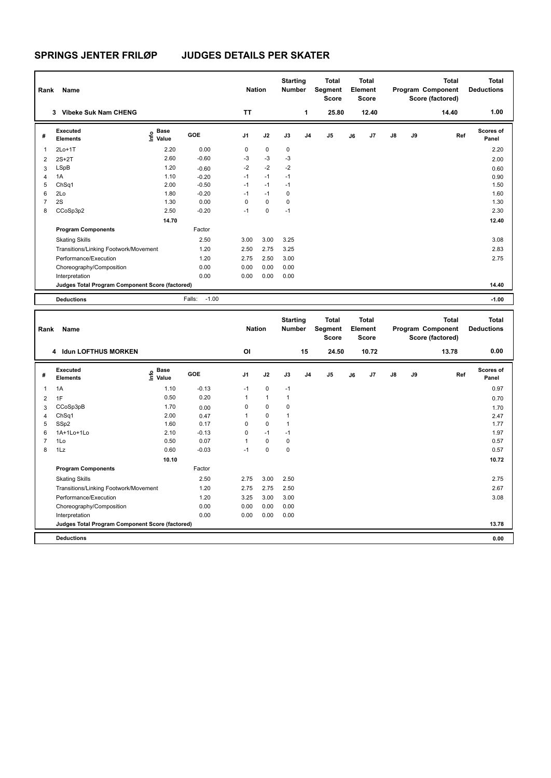| Rank                    | Name                                            |                                           |                   | <b>Nation</b> |              | <b>Starting</b><br>Number        |                | <b>Total</b><br>Segment<br><b>Score</b> |    | <b>Total</b><br>Element<br><b>Score</b> |    |    | <b>Total</b><br>Program Component<br>Score (factored) | <b>Total</b><br><b>Deductions</b> |
|-------------------------|-------------------------------------------------|-------------------------------------------|-------------------|---------------|--------------|----------------------------------|----------------|-----------------------------------------|----|-----------------------------------------|----|----|-------------------------------------------------------|-----------------------------------|
|                         | 3 Vibeke Suk Nam CHENG                          |                                           |                   | <b>TT</b>     |              |                                  | 1              | 25.80                                   |    | 12.40                                   |    |    | 14.40                                                 | 1.00                              |
| #                       | Executed<br><b>Elements</b>                     | $\frac{e}{E}$ Base<br>$\frac{E}{E}$ Value | GOE               | J1            | J2           | J3                               | J <sub>4</sub> | J <sub>5</sub>                          | J6 | J7                                      | J8 | J9 | Ref                                                   | Scores of<br>Panel                |
| 1                       | $2Lo+1T$                                        | 2.20                                      | 0.00              | $\mathbf 0$   | $\Omega$     | 0                                |                |                                         |    |                                         |    |    |                                                       | 2.20                              |
| $\overline{\mathbf{c}}$ | $2S+2T$                                         | 2.60                                      | $-0.60$           | $-3$          | $-3$         | $-3$                             |                |                                         |    |                                         |    |    |                                                       | 2.00                              |
| 3                       | LSpB                                            | 1.20                                      | $-0.60$           | $-2$          | $-2$         | $-2$                             |                |                                         |    |                                         |    |    |                                                       | 0.60                              |
| 4                       | 1A                                              | 1.10                                      | $-0.20$           | $-1$          | $-1$         | $-1$                             |                |                                         |    |                                         |    |    |                                                       | 0.90                              |
| 5                       | ChSq1                                           | 2.00                                      | $-0.50$           | $-1$          | $-1$         | $-1$                             |                |                                         |    |                                         |    |    |                                                       | 1.50                              |
| 6                       | 2Lo                                             | 1.80                                      | $-0.20$           | $-1$          | $-1$         | $\mathbf 0$                      |                |                                         |    |                                         |    |    |                                                       | 1.60                              |
| $\overline{7}$          | 2S                                              | 1.30                                      | 0.00              | $\mathbf 0$   | $\mathbf 0$  | 0                                |                |                                         |    |                                         |    |    |                                                       | 1.30                              |
| 8                       | CCoSp3p2                                        | 2.50                                      | $-0.20$           | $-1$          | $\mathbf 0$  | $-1$                             |                |                                         |    |                                         |    |    |                                                       | 2.30                              |
|                         |                                                 | 14.70                                     |                   |               |              |                                  |                |                                         |    |                                         |    |    |                                                       | 12.40                             |
|                         | <b>Program Components</b>                       |                                           | Factor            |               |              |                                  |                |                                         |    |                                         |    |    |                                                       |                                   |
|                         | <b>Skating Skills</b>                           |                                           | 2.50              | 3.00          | 3.00         | 3.25                             |                |                                         |    |                                         |    |    |                                                       | 3.08                              |
|                         | Transitions/Linking Footwork/Movement           |                                           | 1.20              | 2.50          | 2.75         | 3.25                             |                |                                         |    |                                         |    |    |                                                       | 2.83                              |
|                         | Performance/Execution                           |                                           | 1.20              | 2.75          | 2.50         | 3.00                             |                |                                         |    |                                         |    |    |                                                       | 2.75                              |
|                         | Choreography/Composition                        |                                           | 0.00              | 0.00          | 0.00         | 0.00                             |                |                                         |    |                                         |    |    |                                                       |                                   |
|                         | Interpretation                                  |                                           | 0.00              | 0.00          | 0.00         | 0.00                             |                |                                         |    |                                         |    |    |                                                       |                                   |
|                         | Judges Total Program Component Score (factored) |                                           |                   |               |              |                                  |                |                                         |    |                                         |    |    |                                                       | 14.40                             |
|                         | <b>Deductions</b>                               |                                           | $-1.00$<br>Falls: |               |              |                                  |                |                                         |    |                                         |    |    |                                                       | $-1.00$                           |
|                         |                                                 |                                           |                   |               |              |                                  |                |                                         |    |                                         |    |    |                                                       |                                   |
| Rank                    | Name                                            |                                           |                   | <b>Nation</b> |              | <b>Starting</b><br><b>Number</b> |                | <b>Total</b><br>Segment<br>Score        |    | <b>Total</b><br>Element<br>Score        |    |    | <b>Total</b><br>Program Component<br>Score (factored) | <b>Total</b><br><b>Deductions</b> |
|                         | 4 Idun LOFTHUS MORKEN                           |                                           |                   | OI            |              |                                  | 15             | 24.50                                   |    | 10.72                                   |    |    | 13.78                                                 | 0.00                              |
| #                       | Executed<br><b>Elements</b>                     | Base<br>e Base<br>E Value                 | GOE               | J1            | J2           | J3                               | J <sub>4</sub> | J <sub>5</sub>                          | J6 | J7                                      | J8 | J9 | Ref                                                   | Scores of<br>Panel                |
| 1                       | 1A                                              | 1.10                                      | $-0.13$           | $-1$          | 0            | $-1$                             |                |                                         |    |                                         |    |    |                                                       | 0.97                              |
| $\overline{2}$          | 1F                                              | 0.50                                      | 0.20              | $\mathbf{1}$  | $\mathbf{1}$ | $\mathbf{1}$                     |                |                                         |    |                                         |    |    |                                                       | 0.70                              |
| 3                       | CCoSp3pB                                        | 1.70                                      | 0.00              | $\mathsf 0$   | $\mathbf 0$  | 0                                |                |                                         |    |                                         |    |    |                                                       | 1.70                              |
| $\overline{4}$          | ChSq1                                           | 2.00                                      | 0.47              | 1             | 0            | $\mathbf{1}$                     |                |                                         |    |                                         |    |    |                                                       | 2.47                              |
| 5                       | SSp2                                            | 1.60                                      | 0.17              | $\mathbf 0$   | $\mathbf 0$  | $\mathbf{1}$                     |                |                                         |    |                                         |    |    |                                                       | 1.77                              |
| 6                       | 1A+1Lo+1Lo                                      | 2.10                                      | $-0.13$           | $\mathsf 0$   | $-1$         | $-1$                             |                |                                         |    |                                         |    |    |                                                       | 1.97                              |
| $\overline{7}$          | 1Lo                                             | 0.50                                      | 0.07              | $\mathbf{1}$  | $\mathbf 0$  | 0                                |                |                                         |    |                                         |    |    |                                                       | 0.57                              |
| 8                       | 1Lz                                             | 0.60                                      | $-0.03$           | $-1$          | $\mathbf 0$  | 0                                |                |                                         |    |                                         |    |    |                                                       | 0.57                              |
|                         |                                                 | 10.10                                     |                   |               |              |                                  |                |                                         |    |                                         |    |    |                                                       | 10.72                             |
|                         |                                                 |                                           |                   |               |              |                                  |                |                                         |    |                                         |    |    |                                                       |                                   |
|                         | <b>Program Components</b>                       |                                           | Factor            |               |              |                                  |                |                                         |    |                                         |    |    |                                                       |                                   |
|                         | <b>Skating Skills</b>                           |                                           | 2.50              | 2.75          | 3.00         | 2.50                             |                |                                         |    |                                         |    |    |                                                       | 2.75                              |
|                         | Transitions/Linking Footwork/Movement           |                                           | 1.20              | 2.75          | 2.75         | 2.50                             |                |                                         |    |                                         |    |    |                                                       | 2.67                              |
|                         | Performance/Execution                           |                                           | 1.20              | 3.25          | 3.00         | 3.00                             |                |                                         |    |                                         |    |    |                                                       | 3.08                              |
|                         | Choreography/Composition                        |                                           | 0.00              | 0.00          | 0.00         | 0.00                             |                |                                         |    |                                         |    |    |                                                       |                                   |
|                         | Interpretation                                  |                                           | 0.00              | 0.00          | 0.00         | 0.00                             |                |                                         |    |                                         |    |    |                                                       |                                   |

**Deductions 0.00**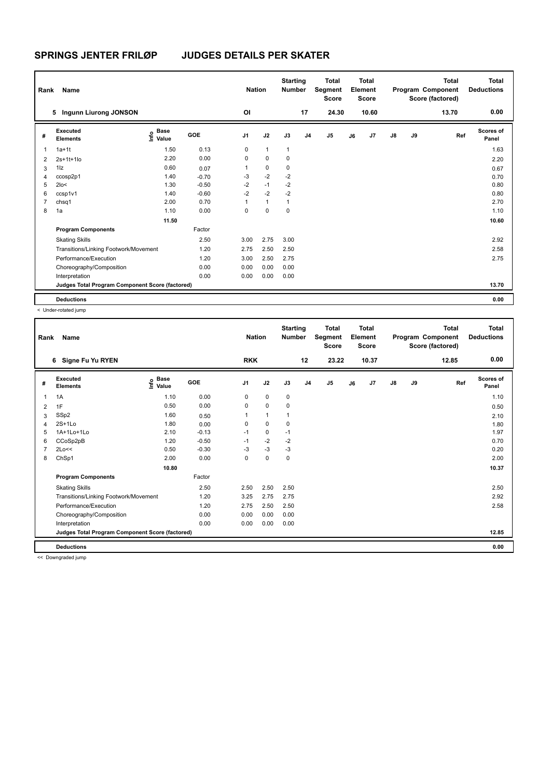| Rank           | Name                                            |                                  |         | <b>Nation</b>  |              | <b>Starting</b><br><b>Number</b> |                | <b>Total</b><br>Segment<br><b>Score</b> |    | <b>Total</b><br>Element<br><b>Score</b> |               |    | <b>Total</b><br>Program Component<br>Score (factored) | <b>Total</b><br><b>Deductions</b> |
|----------------|-------------------------------------------------|----------------------------------|---------|----------------|--------------|----------------------------------|----------------|-----------------------------------------|----|-----------------------------------------|---------------|----|-------------------------------------------------------|-----------------------------------|
|                | Ingunn Liurong JONSON<br>5                      |                                  |         | ΟI             |              |                                  | 17             | 24.30                                   |    | 10.60                                   |               |    | 13.70                                                 | 0.00                              |
| #              | Executed<br><b>Elements</b>                     | <b>Base</b><br>e Base<br>⊆ Value | GOE     | J <sub>1</sub> | J2           | J3                               | J <sub>4</sub> | J <sub>5</sub>                          | J6 | J7                                      | $\mathsf{J}8$ | J9 | Ref                                                   | Scores of<br>Panel                |
| 1              | $1a+1t$                                         | 1.50                             | 0.13    | 0              | $\mathbf{1}$ | $\mathbf{1}$                     |                |                                         |    |                                         |               |    |                                                       | 1.63                              |
| 2              | $2s+1t+1lo$                                     | 2.20                             | 0.00    | 0              | $\mathbf 0$  | 0                                |                |                                         |    |                                         |               |    |                                                       | 2.20                              |
| 3              | $1\overline{z}$                                 | 0.60                             | 0.07    | 1              | 0            | 0                                |                |                                         |    |                                         |               |    |                                                       | 0.67                              |
| 4              | ccosp2p1                                        | 1.40                             | $-0.70$ | $-3$           | $-2$         | $-2$                             |                |                                         |    |                                         |               |    |                                                       | 0.70                              |
| 5              | $2$ lo<                                         | 1.30                             | $-0.50$ | $-2$           | $-1$         | $-2$                             |                |                                         |    |                                         |               |    |                                                       | 0.80                              |
| 6              | ccsp1v1                                         | 1.40                             | $-0.60$ | $-2$           | $-2$         | $-2$                             |                |                                         |    |                                         |               |    |                                                       | 0.80                              |
| $\overline{7}$ | chsq1                                           | 2.00                             | 0.70    | 1              | $\mathbf{1}$ | $\mathbf{1}$                     |                |                                         |    |                                         |               |    |                                                       | 2.70                              |
| 8              | 1a                                              | 1.10                             | 0.00    | 0              | $\mathbf 0$  | 0                                |                |                                         |    |                                         |               |    |                                                       | 1.10                              |
|                |                                                 | 11.50                            |         |                |              |                                  |                |                                         |    |                                         |               |    |                                                       | 10.60                             |
|                | <b>Program Components</b>                       |                                  | Factor  |                |              |                                  |                |                                         |    |                                         |               |    |                                                       |                                   |
|                | <b>Skating Skills</b>                           |                                  | 2.50    | 3.00           | 2.75         | 3.00                             |                |                                         |    |                                         |               |    |                                                       | 2.92                              |
|                | Transitions/Linking Footwork/Movement           |                                  | 1.20    | 2.75           | 2.50         | 2.50                             |                |                                         |    |                                         |               |    |                                                       | 2.58                              |
|                | Performance/Execution                           |                                  | 1.20    | 3.00           | 2.50         | 2.75                             |                |                                         |    |                                         |               |    |                                                       | 2.75                              |
|                | Choreography/Composition                        |                                  | 0.00    | 0.00           | 0.00         | 0.00                             |                |                                         |    |                                         |               |    |                                                       |                                   |
|                | Interpretation                                  |                                  | 0.00    | 0.00           | 0.00         | 0.00                             |                |                                         |    |                                         |               |    |                                                       |                                   |
|                | Judges Total Program Component Score (factored) |                                  |         |                |              |                                  |                |                                         |    |                                         |               |    |                                                       | 13.70                             |
|                | <b>Deductions</b>                               |                                  |         |                |              |                                  |                |                                         |    |                                         |               |    |                                                       | 0.00                              |

< Under-rotated jump

| Rank | Name                                            |                              |            | <b>Nation</b>  |              | <b>Starting</b><br><b>Number</b> |                | <b>Total</b><br>Segment<br><b>Score</b> |    | <b>Total</b><br>Element<br><b>Score</b> |               |    | <b>Total</b><br>Program Component<br>Score (factored) | <b>Total</b><br><b>Deductions</b> |
|------|-------------------------------------------------|------------------------------|------------|----------------|--------------|----------------------------------|----------------|-----------------------------------------|----|-----------------------------------------|---------------|----|-------------------------------------------------------|-----------------------------------|
|      | Signe Fu Yu RYEN<br>6                           |                              |            | <b>RKK</b>     |              |                                  | 12             | 23.22                                   |    | 10.37                                   |               |    | 12.85                                                 | 0.00                              |
| #    | Executed<br><b>Elements</b>                     | <b>Base</b><br>١nf٥<br>Value | <b>GOE</b> | J <sub>1</sub> | J2           | J3                               | J <sub>4</sub> | J5                                      | J6 | J7                                      | $\mathsf{J}8$ | J9 | Ref                                                   | <b>Scores of</b><br>Panel         |
| 1    | 1A                                              | 1.10                         | 0.00       | 0              | $\mathbf 0$  | $\mathbf 0$                      |                |                                         |    |                                         |               |    |                                                       | 1.10                              |
| 2    | 1F                                              | 0.50                         | 0.00       | 0              | $\mathbf 0$  | 0                                |                |                                         |    |                                         |               |    |                                                       | 0.50                              |
| 3    | SSp2                                            | 1.60                         | 0.50       |                | $\mathbf{1}$ | 1                                |                |                                         |    |                                         |               |    |                                                       | 2.10                              |
| 4    | $2S+1Lo$                                        | 1.80                         | 0.00       | $\Omega$       | 0            | 0                                |                |                                         |    |                                         |               |    |                                                       | 1.80                              |
| 5    | 1A+1Lo+1Lo                                      | 2.10                         | $-0.13$    | $-1$           | 0            | $-1$                             |                |                                         |    |                                         |               |    |                                                       | 1.97                              |
| 6    | CCoSp2pB                                        | 1.20                         | $-0.50$    | $-1$           | $-2$         | $-2$                             |                |                                         |    |                                         |               |    |                                                       | 0.70                              |
| 7    | 2Lo<<                                           | 0.50                         | $-0.30$    | $-3$           | $-3$         | $-3$                             |                |                                         |    |                                         |               |    |                                                       | 0.20                              |
| 8    | ChSp1                                           | 2.00                         | 0.00       | 0              | $\mathbf 0$  | 0                                |                |                                         |    |                                         |               |    |                                                       | 2.00                              |
|      |                                                 | 10.80                        |            |                |              |                                  |                |                                         |    |                                         |               |    |                                                       | 10.37                             |
|      | <b>Program Components</b>                       |                              | Factor     |                |              |                                  |                |                                         |    |                                         |               |    |                                                       |                                   |
|      | <b>Skating Skills</b>                           |                              | 2.50       | 2.50           | 2.50         | 2.50                             |                |                                         |    |                                         |               |    |                                                       | 2.50                              |
|      | Transitions/Linking Footwork/Movement           |                              | 1.20       | 3.25           | 2.75         | 2.75                             |                |                                         |    |                                         |               |    |                                                       | 2.92                              |
|      | Performance/Execution                           |                              | 1.20       | 2.75           | 2.50         | 2.50                             |                |                                         |    |                                         |               |    |                                                       | 2.58                              |
|      | Choreography/Composition                        |                              | 0.00       | 0.00           | 0.00         | 0.00                             |                |                                         |    |                                         |               |    |                                                       |                                   |
|      | Interpretation                                  |                              | 0.00       | 0.00           | 0.00         | 0.00                             |                |                                         |    |                                         |               |    |                                                       |                                   |
|      | Judges Total Program Component Score (factored) |                              |            |                |              |                                  |                |                                         |    |                                         |               |    |                                                       | 12.85                             |
|      | <b>Deductions</b>                               |                              |            |                |              |                                  |                |                                         |    |                                         |               |    |                                                       | 0.00                              |

<< Downgraded jump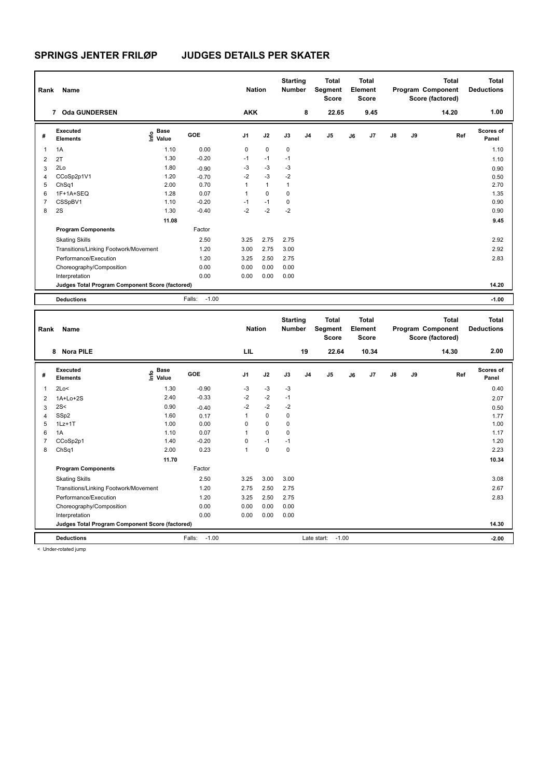| Rank           | Name                                            |                           |                   | <b>Nation</b>  |              | <b>Starting</b><br><b>Number</b> |                | <b>Total</b><br><b>Segment</b><br><b>Score</b> |    | <b>Total</b><br>Element<br>Score |    |    | <b>Total</b><br>Program Component<br>Score (factored) | <b>Total</b><br><b>Deductions</b> |
|----------------|-------------------------------------------------|---------------------------|-------------------|----------------|--------------|----------------------------------|----------------|------------------------------------------------|----|----------------------------------|----|----|-------------------------------------------------------|-----------------------------------|
|                | 7 Oda GUNDERSEN                                 |                           |                   | <b>AKK</b>     |              |                                  | 8              | 22.65                                          |    | 9.45                             |    |    | 14.20                                                 | 1.00                              |
| #              | Executed<br><b>Elements</b>                     | <b>Base</b><br>e<br>Value | GOE               | J <sub>1</sub> | J2           | J3                               | J <sub>4</sub> | J <sub>5</sub>                                 | J6 | J7                               | J8 | J9 | Ref                                                   | <b>Scores of</b><br>Panel         |
| $\overline{1}$ | 1A                                              | 1.10                      | 0.00              | 0              | $\mathbf 0$  | $\mathbf 0$                      |                |                                                |    |                                  |    |    |                                                       | 1.10                              |
| $\overline{2}$ | 2T                                              | 1.30                      | $-0.20$           | $-1$           | $-1$         | $-1$                             |                |                                                |    |                                  |    |    |                                                       | 1.10                              |
| 3              | 2Lo                                             | 1.80                      | $-0.90$           | -3             | -3           | $-3$                             |                |                                                |    |                                  |    |    |                                                       | 0.90                              |
| $\overline{4}$ | CCoSp2p1V1                                      | 1.20                      | $-0.70$           | $-2$           | $-3$         | $-2$                             |                |                                                |    |                                  |    |    |                                                       | 0.50                              |
| 5              | ChSq1                                           | 2.00                      | 0.70              | 1              | $\mathbf{1}$ | $\mathbf{1}$                     |                |                                                |    |                                  |    |    |                                                       | 2.70                              |
| 6              | 1F+1A+SEQ                                       | 1.28                      | 0.07              | 1              | $\mathbf 0$  | $\mathbf 0$                      |                |                                                |    |                                  |    |    |                                                       | 1.35                              |
| $\overline{7}$ | CSSpBV1                                         | 1.10                      | $-0.20$           | $-1$           | $-1$         | $\mathbf 0$                      |                |                                                |    |                                  |    |    |                                                       | 0.90                              |
| 8              | 2S                                              | 1.30                      | $-0.40$           | $-2$           | $-2$         | $-2$                             |                |                                                |    |                                  |    |    |                                                       | 0.90                              |
|                |                                                 | 11.08                     |                   |                |              |                                  |                |                                                |    |                                  |    |    |                                                       | 9.45                              |
|                | <b>Program Components</b>                       |                           | Factor            |                |              |                                  |                |                                                |    |                                  |    |    |                                                       |                                   |
|                | <b>Skating Skills</b>                           |                           | 2.50              | 3.25           | 2.75         | 2.75                             |                |                                                |    |                                  |    |    |                                                       | 2.92                              |
|                | Transitions/Linking Footwork/Movement           |                           | 1.20              | 3.00           | 2.75         | 3.00                             |                |                                                |    |                                  |    |    |                                                       | 2.92                              |
|                | Performance/Execution                           |                           | 1.20              | 3.25           | 2.50         | 2.75                             |                |                                                |    |                                  |    |    |                                                       | 2.83                              |
|                | Choreography/Composition                        |                           | 0.00              | 0.00           | 0.00         | 0.00                             |                |                                                |    |                                  |    |    |                                                       |                                   |
|                | Interpretation                                  |                           | 0.00              | 0.00           | 0.00         | 0.00                             |                |                                                |    |                                  |    |    |                                                       |                                   |
|                | Judges Total Program Component Score (factored) |                           |                   |                |              |                                  |                |                                                |    |                                  |    |    |                                                       | 14.20                             |
|                | <b>Deductions</b>                               |                           | $-1.00$<br>Falls: |                |              |                                  |                |                                                |    |                                  |    |    |                                                       | $-1.00$                           |
| Rank           | Name                                            |                           |                   | <b>Nation</b>  |              | <b>Starting</b><br><b>Number</b> |                | <b>Total</b><br>Segment<br><b>Score</b>        |    | <b>Total</b><br>Element<br>Score |    |    | <b>Total</b><br>Program Component<br>Score (factored) | <b>Total</b><br><b>Deductions</b> |
|                | $0$ Note DILE                                   |                           |                   | <b>LIL</b>     |              |                                  | 40             | <b>22.04</b>                                   |    | 10.24                            |    |    | 44.20                                                 | ን በበ                              |

|                | <b>Nora PILE</b><br>8                           |                           |                   | LIL            |             |      | 19             | 22.64          |    | 10.34 |               |    | 14.30 | 2.00               |
|----------------|-------------------------------------------------|---------------------------|-------------------|----------------|-------------|------|----------------|----------------|----|-------|---------------|----|-------|--------------------|
| #              | <b>Executed</b><br><b>Elements</b>              | Base<br>e Base<br>⊆ Value | <b>GOE</b>        | J <sub>1</sub> | J2          | J3   | J <sub>4</sub> | J <sub>5</sub> | J6 | J7    | $\mathsf{J}8$ | J9 | Ref   | Scores of<br>Panel |
| 1              | 2Lo<                                            | 1.30                      | $-0.90$           | $-3$           | $-3$        | $-3$ |                |                |    |       |               |    |       | 0.40               |
| $\overline{2}$ | $1A+Lo+2S$                                      | 2.40                      | $-0.33$           | $-2$           | $-2$        | $-1$ |                |                |    |       |               |    |       | 2.07               |
| 3              | 2S<                                             | 0.90                      | $-0.40$           | $-2$           | $-2$        | $-2$ |                |                |    |       |               |    |       | 0.50               |
| 4              | SSp2                                            | 1.60                      | 0.17              | 1              | $\Omega$    | 0    |                |                |    |       |               |    |       | 1.77               |
| 5              | $1Lz+1T$                                        | 1.00                      | 0.00              | $\Omega$       | $\mathbf 0$ | 0    |                |                |    |       |               |    |       | 1.00               |
| 6              | 1A                                              | 1.10                      | 0.07              |                | $\mathbf 0$ | 0    |                |                |    |       |               |    |       | 1.17               |
| $\overline{7}$ | CCoSp2p1                                        | 1.40                      | $-0.20$           | 0              | $-1$        | $-1$ |                |                |    |       |               |    |       | 1.20               |
| 8              | ChSq1                                           | 2.00                      | 0.23              | 1              | 0           | 0    |                |                |    |       |               |    |       | 2.23               |
|                |                                                 | 11.70                     |                   |                |             |      |                |                |    |       |               |    |       | 10.34              |
|                | <b>Program Components</b>                       |                           | Factor            |                |             |      |                |                |    |       |               |    |       |                    |
|                | <b>Skating Skills</b>                           |                           | 2.50              | 3.25           | 3.00        | 3.00 |                |                |    |       |               |    |       | 3.08               |
|                | Transitions/Linking Footwork/Movement           |                           | 1.20              | 2.75           | 2.50        | 2.75 |                |                |    |       |               |    |       | 2.67               |
|                | Performance/Execution                           |                           | 1.20              | 3.25           | 2.50        | 2.75 |                |                |    |       |               |    |       | 2.83               |
|                | Choreography/Composition                        |                           | 0.00              | 0.00           | 0.00        | 0.00 |                |                |    |       |               |    |       |                    |
|                | Interpretation                                  |                           | 0.00              | 0.00           | 0.00        | 0.00 |                |                |    |       |               |    |       |                    |
|                | Judges Total Program Component Score (factored) |                           |                   |                |             |      |                |                |    |       |               |    |       | 14.30              |
|                | <b>Deductions</b>                               |                           | $-1.00$<br>Falls: |                |             |      | Late start:    | $-1.00$        |    |       |               |    |       | $-2.00$            |

< Under-rotated jump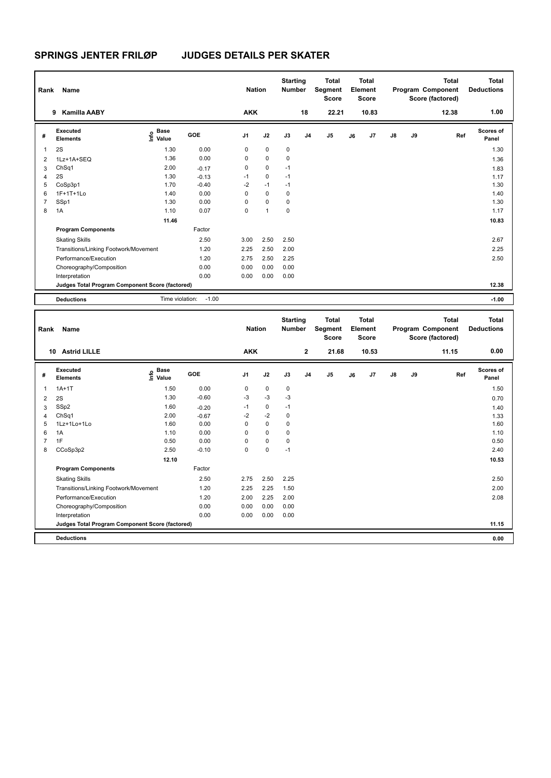| Rank           | Name                                            |                              |         | <b>Nation</b>  |                | <b>Starting</b><br><b>Number</b> |                | <b>Total</b><br>Segment<br><b>Score</b> |    | <b>Total</b><br>Element<br><b>Score</b> |               |    | <b>Total</b><br>Program Component<br>Score (factored) | <b>Total</b><br><b>Deductions</b> |
|----------------|-------------------------------------------------|------------------------------|---------|----------------|----------------|----------------------------------|----------------|-----------------------------------------|----|-----------------------------------------|---------------|----|-------------------------------------------------------|-----------------------------------|
|                | <b>Kamilla AABY</b><br>9                        |                              |         | <b>AKK</b>     |                |                                  | 18             | 22.21                                   |    | 10.83                                   |               |    | 12.38                                                 | 1.00                              |
| #              | Executed<br><b>Elements</b>                     | <b>Base</b><br>Info<br>Value | GOE     | J <sub>1</sub> | J2             | J3                               | J <sub>4</sub> | J <sub>5</sub>                          | J6 | J7                                      | $\mathsf{J}8$ | J9 | Ref                                                   | <b>Scores of</b><br>Panel         |
| 1              | 2S                                              | 1.30                         | 0.00    | 0              | $\mathbf 0$    | 0                                |                |                                         |    |                                         |               |    |                                                       | 1.30                              |
| 2              | 1Lz+1A+SEQ                                      | 1.36                         | 0.00    | 0              | $\mathbf 0$    | 0                                |                |                                         |    |                                         |               |    |                                                       | 1.36                              |
| 3              | ChSq1                                           | 2.00                         | $-0.17$ | 0              | $\mathbf 0$    | $-1$                             |                |                                         |    |                                         |               |    |                                                       | 1.83                              |
| 4              | 2S                                              | 1.30                         | $-0.13$ | $-1$           | $\mathbf 0$    | $-1$                             |                |                                         |    |                                         |               |    |                                                       | 1.17                              |
| 5              | CoSp3p1                                         | 1.70                         | $-0.40$ | $-2$           | $-1$           | $-1$                             |                |                                         |    |                                         |               |    |                                                       | 1.30                              |
| 6              | 1F+1T+1Lo                                       | 1.40                         | 0.00    | 0              | $\mathbf 0$    | 0                                |                |                                         |    |                                         |               |    |                                                       | 1.40                              |
| $\overline{7}$ | SSp1                                            | 1.30                         | 0.00    | 0              | $\mathbf 0$    | 0                                |                |                                         |    |                                         |               |    |                                                       | 1.30                              |
| 8              | 1A                                              | 1.10                         | 0.07    | 0              | $\overline{1}$ | 0                                |                |                                         |    |                                         |               |    |                                                       | 1.17                              |
|                |                                                 | 11.46                        |         |                |                |                                  |                |                                         |    |                                         |               |    |                                                       | 10.83                             |
|                | <b>Program Components</b>                       |                              | Factor  |                |                |                                  |                |                                         |    |                                         |               |    |                                                       |                                   |
|                | <b>Skating Skills</b>                           |                              | 2.50    | 3.00           | 2.50           | 2.50                             |                |                                         |    |                                         |               |    |                                                       | 2.67                              |
|                | Transitions/Linking Footwork/Movement           |                              | 1.20    | 2.25           | 2.50           | 2.00                             |                |                                         |    |                                         |               |    |                                                       | 2.25                              |
|                | Performance/Execution                           |                              | 1.20    | 2.75           | 2.50           | 2.25                             |                |                                         |    |                                         |               |    |                                                       | 2.50                              |
|                | Choreography/Composition                        |                              | 0.00    | 0.00           | 0.00           | 0.00                             |                |                                         |    |                                         |               |    |                                                       |                                   |
|                | Interpretation                                  |                              | 0.00    | 0.00           | 0.00           | 0.00                             |                |                                         |    |                                         |               |    |                                                       |                                   |
|                | Judges Total Program Component Score (factored) |                              |         |                |                |                                  |                |                                         |    |                                         |               |    |                                                       | 12.38                             |
|                | <b>Deductions</b>                               | Time violation:              | $-1.00$ |                |                |                                  |                |                                         |    |                                         |               |    |                                                       | $-1.00$                           |
|                |                                                 |                              |         |                |                |                                  |                |                                         |    |                                         |               |    |                                                       |                                   |
| Rank           | Name                                            |                              |         | <b>Nation</b>  |                | <b>Starting</b><br><b>Number</b> |                | <b>Total</b><br>Segment<br><b>Score</b> |    | <b>Total</b><br>Element<br><b>Score</b> |               |    | <b>Total</b><br>Program Component<br>Score (factored) | <b>Total</b><br><b>Deductions</b> |
|                | 10 Astrid I II I F                              |                              |         | <b>AKK</b>     |                |                                  | $\mathbf{z}$   | 21.68                                   |    | 10.53                                   |               |    | 11 15                                                 | 0.00                              |

|                | <b>Astrid LILLE</b><br>10                       |                                  |         | <b>AKK</b> |             |      | $\mathbf{2}$   | 21.68          |    | 10.53 |               |    | 11.15 | 0.00               |
|----------------|-------------------------------------------------|----------------------------------|---------|------------|-------------|------|----------------|----------------|----|-------|---------------|----|-------|--------------------|
| #              | <b>Executed</b><br><b>Elements</b>              | <b>Base</b><br>e Base<br>⊆ Value | GOE     | J1         | J2          | J3   | J <sub>4</sub> | J <sub>5</sub> | J6 | J7    | $\mathsf{J}8$ | J9 | Ref   | Scores of<br>Panel |
| 1              | $1A+1T$                                         | 1.50                             | 0.00    | 0          | $\mathbf 0$ | 0    |                |                |    |       |               |    |       | 1.50               |
| $\overline{2}$ | 2S                                              | 1.30                             | $-0.60$ | $-3$       | -3          | $-3$ |                |                |    |       |               |    |       | 0.70               |
| 3              | SSp2                                            | 1.60                             | $-0.20$ | $-1$       | 0           | $-1$ |                |                |    |       |               |    |       | 1.40               |
| 4              | Ch <sub>Sq1</sub>                               | 2.00                             | $-0.67$ | $-2$       | $-2$        | 0    |                |                |    |       |               |    |       | 1.33               |
| 5              | 1Lz+1Lo+1Lo                                     | 1.60                             | 0.00    | 0          | $\mathbf 0$ | 0    |                |                |    |       |               |    |       | 1.60               |
| 6              | 1A                                              | 1.10                             | 0.00    | 0          | $\mathbf 0$ | 0    |                |                |    |       |               |    |       | 1.10               |
| 7              | 1F                                              | 0.50                             | 0.00    | 0          | $\pmb{0}$   | 0    |                |                |    |       |               |    |       | 0.50               |
| 8              | CCoSp3p2                                        | 2.50                             | $-0.10$ | 0          | $\mathbf 0$ | $-1$ |                |                |    |       |               |    |       | 2.40               |
|                |                                                 | 12.10                            |         |            |             |      |                |                |    |       |               |    |       | 10.53              |
|                | <b>Program Components</b>                       |                                  | Factor  |            |             |      |                |                |    |       |               |    |       |                    |
|                | <b>Skating Skills</b>                           |                                  | 2.50    | 2.75       | 2.50        | 2.25 |                |                |    |       |               |    |       | 2.50               |
|                | Transitions/Linking Footwork/Movement           |                                  | 1.20    | 2.25       | 2.25        | 1.50 |                |                |    |       |               |    |       | 2.00               |
|                | Performance/Execution                           |                                  | 1.20    | 2.00       | 2.25        | 2.00 |                |                |    |       |               |    |       | 2.08               |
|                | Choreography/Composition                        |                                  | 0.00    | 0.00       | 0.00        | 0.00 |                |                |    |       |               |    |       |                    |
|                | Interpretation                                  |                                  | 0.00    | 0.00       | 0.00        | 0.00 |                |                |    |       |               |    |       |                    |
|                | Judges Total Program Component Score (factored) |                                  |         |            |             |      |                |                |    |       |               |    |       | 11.15              |
|                | <b>Deductions</b>                               |                                  |         |            |             |      |                |                |    |       |               |    |       | 0.00               |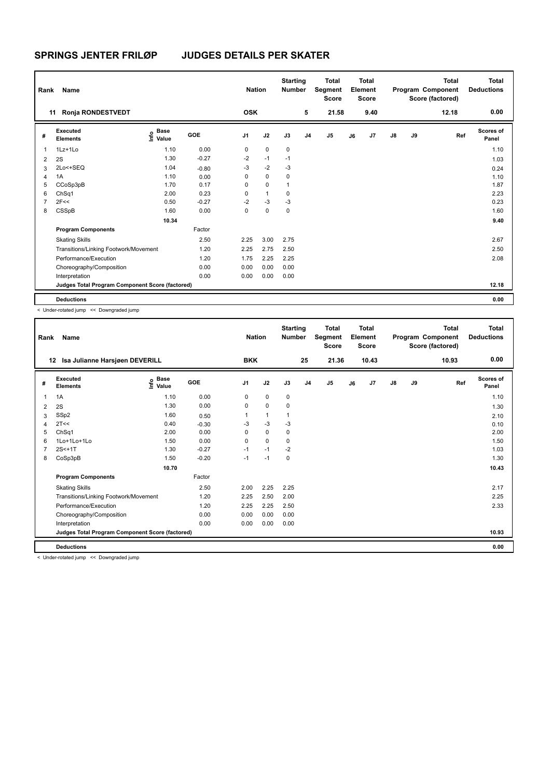| Rank           | Name                                            |                                  |         | <b>Nation</b>  |              | <b>Starting</b><br><b>Number</b> |                | <b>Total</b><br>Segment<br><b>Score</b> |    | Total<br>Element<br><b>Score</b> |               |    | <b>Total</b><br>Program Component<br>Score (factored) | <b>Total</b><br><b>Deductions</b> |
|----------------|-------------------------------------------------|----------------------------------|---------|----------------|--------------|----------------------------------|----------------|-----------------------------------------|----|----------------------------------|---------------|----|-------------------------------------------------------|-----------------------------------|
| 11             | Ronja RONDESTVEDT                               |                                  |         | <b>OSK</b>     |              |                                  | 5              | 21.58                                   |    | 9.40                             |               |    | 12.18                                                 | 0.00                              |
| #              | Executed<br><b>Elements</b>                     | <b>Base</b><br>o Base<br>⊆ Value | GOE     | J <sub>1</sub> | J2           | J3                               | J <sub>4</sub> | J <sub>5</sub>                          | J6 | J7                               | $\mathsf{J}8$ | J9 | Ref                                                   | Scores of<br>Panel                |
| 1              | $1Lz+1Lo$                                       | 1.10                             | 0.00    | 0              | $\mathbf 0$  | $\mathbf 0$                      |                |                                         |    |                                  |               |    |                                                       | 1.10                              |
| $\overline{2}$ | 2S                                              | 1.30                             | $-0.27$ | $-2$           | $-1$         | $-1$                             |                |                                         |    |                                  |               |    |                                                       | 1.03                              |
| 3              | 2Lo<+SEQ                                        | 1.04                             | $-0.80$ | $-3$           | $-2$         | $-3$                             |                |                                         |    |                                  |               |    |                                                       | 0.24                              |
| $\overline{4}$ | 1A                                              | 1.10                             | 0.00    | 0              | $\mathbf 0$  | 0                                |                |                                         |    |                                  |               |    |                                                       | 1.10                              |
| 5              | CCoSp3pB                                        | 1.70                             | 0.17    | 0              | $\mathbf 0$  | 1                                |                |                                         |    |                                  |               |    |                                                       | 1.87                              |
| 6              | ChSq1                                           | 2.00                             | 0.23    | 0              | $\mathbf{1}$ | 0                                |                |                                         |    |                                  |               |    |                                                       | 2.23                              |
| $\overline{7}$ | 2F<<                                            | 0.50                             | $-0.27$ | $-2$           | $-3$         | $-3$                             |                |                                         |    |                                  |               |    |                                                       | 0.23                              |
| 8              | CSSpB                                           | 1.60                             | 0.00    | 0              | $\mathbf 0$  | $\mathbf 0$                      |                |                                         |    |                                  |               |    |                                                       | 1.60                              |
|                |                                                 | 10.34                            |         |                |              |                                  |                |                                         |    |                                  |               |    |                                                       | 9.40                              |
|                | <b>Program Components</b>                       |                                  | Factor  |                |              |                                  |                |                                         |    |                                  |               |    |                                                       |                                   |
|                | <b>Skating Skills</b>                           |                                  | 2.50    | 2.25           | 3.00         | 2.75                             |                |                                         |    |                                  |               |    |                                                       | 2.67                              |
|                | Transitions/Linking Footwork/Movement           |                                  | 1.20    | 2.25           | 2.75         | 2.50                             |                |                                         |    |                                  |               |    |                                                       | 2.50                              |
|                | Performance/Execution                           |                                  | 1.20    | 1.75           | 2.25         | 2.25                             |                |                                         |    |                                  |               |    |                                                       | 2.08                              |
|                | Choreography/Composition                        |                                  | 0.00    | 0.00           | 0.00         | 0.00                             |                |                                         |    |                                  |               |    |                                                       |                                   |
|                | Interpretation                                  |                                  | 0.00    | 0.00           | 0.00         | 0.00                             |                |                                         |    |                                  |               |    |                                                       |                                   |
|                | Judges Total Program Component Score (factored) |                                  |         |                |              |                                  |                |                                         |    |                                  |               |    |                                                       | 12.18                             |
|                | <b>Deductions</b>                               |                                  |         |                |              |                                  |                |                                         |    |                                  |               |    |                                                       | 0.00                              |

< Under-rotated jump << Downgraded jump

| Rank | Name                                            |                                  |         | <b>Nation</b>  |          | <b>Starting</b><br><b>Number</b> |                | <b>Total</b><br>Segment<br><b>Score</b> |    | <b>Total</b><br>Element<br><b>Score</b> |               |    | <b>Total</b><br>Program Component<br>Score (factored) | <b>Total</b><br><b>Deductions</b> |
|------|-------------------------------------------------|----------------------------------|---------|----------------|----------|----------------------------------|----------------|-----------------------------------------|----|-----------------------------------------|---------------|----|-------------------------------------------------------|-----------------------------------|
| 12   | Isa Julianne Harsjøen DEVERILL                  |                                  |         | <b>BKK</b>     |          |                                  | 25             | 21.36                                   |    | 10.43                                   |               |    | 10.93                                                 | 0.00                              |
| #    | <b>Executed</b><br><b>Elements</b>              | <b>Base</b><br>e Base<br>⊆ Value | GOE     | J <sub>1</sub> | J2       | J3                               | J <sub>4</sub> | J <sub>5</sub>                          | J6 | J <sub>7</sub>                          | $\mathsf{J}8$ | J9 | Ref                                                   | Scores of<br>Panel                |
| 1    | 1A                                              | 1.10                             | 0.00    | 0              | 0        | 0                                |                |                                         |    |                                         |               |    |                                                       | 1.10                              |
| 2    | 2S                                              | 1.30                             | 0.00    | 0              | 0        | 0                                |                |                                         |    |                                         |               |    |                                                       | 1.30                              |
| 3    | SSp2                                            | 1.60                             | 0.50    |                | 1        | 1                                |                |                                         |    |                                         |               |    |                                                       | 2.10                              |
| Δ    | 2T<<                                            | 0.40                             | $-0.30$ | $-3$           | $-3$     | $-3$                             |                |                                         |    |                                         |               |    |                                                       | 0.10                              |
| 5    | ChSq1                                           | 2.00                             | 0.00    | 0              | 0        | 0                                |                |                                         |    |                                         |               |    |                                                       | 2.00                              |
| 6    | 1Lo+1Lo+1Lo                                     | 1.50                             | 0.00    | $\Omega$       | $\Omega$ | 0                                |                |                                         |    |                                         |               |    |                                                       | 1.50                              |
|      | $2S<+1T$                                        | 1.30                             | $-0.27$ | $-1$           | $-1$     | $-2$                             |                |                                         |    |                                         |               |    |                                                       | 1.03                              |
| 8    | CoSp3pB                                         | 1.50                             | $-0.20$ | $-1$           | $-1$     | 0                                |                |                                         |    |                                         |               |    |                                                       | 1.30                              |
|      |                                                 | 10.70                            |         |                |          |                                  |                |                                         |    |                                         |               |    |                                                       | 10.43                             |
|      | <b>Program Components</b>                       |                                  | Factor  |                |          |                                  |                |                                         |    |                                         |               |    |                                                       |                                   |
|      | <b>Skating Skills</b>                           |                                  | 2.50    | 2.00           | 2.25     | 2.25                             |                |                                         |    |                                         |               |    |                                                       | 2.17                              |
|      | Transitions/Linking Footwork/Movement           |                                  | 1.20    | 2.25           | 2.50     | 2.00                             |                |                                         |    |                                         |               |    |                                                       | 2.25                              |
|      | Performance/Execution                           |                                  | 1.20    | 2.25           | 2.25     | 2.50                             |                |                                         |    |                                         |               |    |                                                       | 2.33                              |
|      | Choreography/Composition                        |                                  | 0.00    | 0.00           | 0.00     | 0.00                             |                |                                         |    |                                         |               |    |                                                       |                                   |
|      | Interpretation                                  |                                  | 0.00    | 0.00           | 0.00     | 0.00                             |                |                                         |    |                                         |               |    |                                                       |                                   |
|      | Judges Total Program Component Score (factored) |                                  |         |                |          |                                  |                |                                         |    |                                         |               |    |                                                       | 10.93                             |
|      | <b>Deductions</b>                               |                                  |         |                |          |                                  |                |                                         |    |                                         |               |    |                                                       | 0.00                              |

< Under-rotated jump << Downgraded jump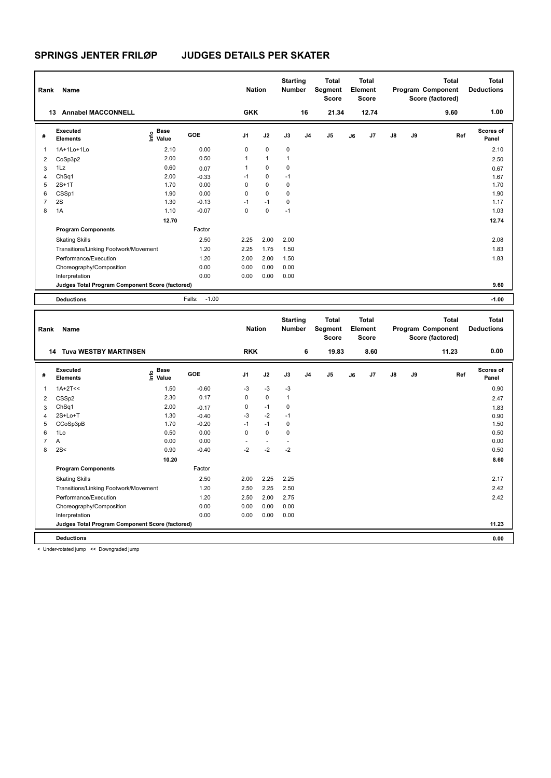| Rank           | Name                                            |                                           |                   |                | <b>Nation</b> | <b>Starting</b><br><b>Number</b> |                | <b>Total</b><br>Segment<br><b>Score</b> |    | Total<br>Element<br><b>Score</b>        |    |    | <b>Total</b><br>Program Component<br>Score (factored) | <b>Total</b><br><b>Deductions</b> |
|----------------|-------------------------------------------------|-------------------------------------------|-------------------|----------------|---------------|----------------------------------|----------------|-----------------------------------------|----|-----------------------------------------|----|----|-------------------------------------------------------|-----------------------------------|
|                | 13 Annabel MACCONNELL                           |                                           |                   | <b>GKK</b>     |               |                                  | 16             | 21.34                                   |    | 12.74                                   |    |    | 9.60                                                  | 1.00                              |
| #              | <b>Executed</b><br><b>Elements</b>              | $\frac{e}{E}$ Base<br>$\frac{e}{E}$ Value | GOE               | J <sub>1</sub> | J2            | J3                               | J <sub>4</sub> | J <sub>5</sub>                          | J6 | J7                                      | J8 | J9 | Ref                                                   | <b>Scores of</b><br>Panel         |
| 1              | 1A+1Lo+1Lo                                      | 2.10                                      | 0.00              | 0              | $\mathbf 0$   | 0                                |                |                                         |    |                                         |    |    |                                                       | 2.10                              |
| $\overline{2}$ | CoSp3p2                                         | 2.00                                      | 0.50              | 1              | $\mathbf{1}$  | $\mathbf{1}$                     |                |                                         |    |                                         |    |    |                                                       | 2.50                              |
| 3              | 1Lz                                             | 0.60                                      | 0.07              | $\mathbf{1}$   | 0             | 0                                |                |                                         |    |                                         |    |    |                                                       | 0.67                              |
| $\overline{4}$ | ChSq1                                           | 2.00                                      | $-0.33$           | $-1$           | 0             | $-1$                             |                |                                         |    |                                         |    |    |                                                       | 1.67                              |
| 5              | $2S+1T$                                         | 1.70                                      | 0.00              | 0              | 0             | 0                                |                |                                         |    |                                         |    |    |                                                       | 1.70                              |
| 6              | CSSp1                                           | 1.90                                      | 0.00              | $\mathbf 0$    | 0             | 0                                |                |                                         |    |                                         |    |    |                                                       | 1.90                              |
| $\overline{7}$ | 2S                                              | 1.30                                      | $-0.13$           | $-1$           | $-1$          | 0                                |                |                                         |    |                                         |    |    |                                                       | 1.17                              |
| 8              | 1A                                              | 1.10                                      | $-0.07$           | $\mathbf 0$    | $\pmb{0}$     | $-1$                             |                |                                         |    |                                         |    |    |                                                       | 1.03                              |
|                |                                                 | 12.70                                     |                   |                |               |                                  |                |                                         |    |                                         |    |    |                                                       | 12.74                             |
|                | <b>Program Components</b>                       |                                           | Factor            |                |               |                                  |                |                                         |    |                                         |    |    |                                                       |                                   |
|                | <b>Skating Skills</b>                           |                                           | 2.50              | 2.25           | 2.00          | 2.00                             |                |                                         |    |                                         |    |    |                                                       | 2.08                              |
|                | Transitions/Linking Footwork/Movement           |                                           | 1.20              | 2.25           | 1.75          | 1.50                             |                |                                         |    |                                         |    |    |                                                       | 1.83                              |
|                | Performance/Execution                           |                                           | 1.20              | 2.00           | 2.00          | 1.50                             |                |                                         |    |                                         |    |    |                                                       | 1.83                              |
|                | Choreography/Composition                        |                                           | 0.00              | 0.00           | 0.00          | 0.00                             |                |                                         |    |                                         |    |    |                                                       |                                   |
|                | Interpretation                                  |                                           | 0.00              | 0.00           | 0.00          | 0.00                             |                |                                         |    |                                         |    |    |                                                       |                                   |
|                | Judges Total Program Component Score (factored) |                                           |                   |                |               |                                  |                |                                         |    |                                         |    |    |                                                       | 9.60                              |
|                | <b>Deductions</b>                               |                                           | $-1.00$<br>Falls: |                |               |                                  |                |                                         |    |                                         |    |    |                                                       | $-1.00$                           |
|                |                                                 |                                           |                   |                |               |                                  |                |                                         |    |                                         |    |    |                                                       |                                   |
| Rank           | Name                                            |                                           |                   | <b>Nation</b>  |               | <b>Starting</b><br><b>Number</b> |                | <b>Total</b><br>Segment<br><b>Score</b> |    | <b>Total</b><br>Element<br><b>Score</b> |    |    | <b>Total</b><br>Program Component<br>Score (factored) | <b>Total</b><br><b>Deductions</b> |
|                | <b>14 Tuva WESTBY MARTINSEN</b>                 |                                           |                   | <b>RKK</b>     |               |                                  | 6              | 19.83                                   |    | 8.60                                    |    |    | 11.23                                                 | 0.00                              |
| #              | <b>Executed</b><br><b>Elements</b>              | Base<br>e <sup>Base</sup><br>⊆ Value      | GOE               | J <sub>1</sub> | J2            | J3                               | J <sub>4</sub> | J <sub>5</sub>                          | J6 | J7                                      | J8 | J9 | Ref                                                   | <b>Scores of</b><br>Panel         |
| 1              | $1A+2T<<$                                       | 1.50                                      | $-0.60$           | -3             | $-3$          | $-3$                             |                |                                         |    |                                         |    |    |                                                       | 0.90                              |
| $\overline{2}$ | CSSp2                                           | 2.30                                      | 0.17              | 0              | 0             | $\mathbf{1}$                     |                |                                         |    |                                         |    |    |                                                       | 2.47                              |
| 3              | ChSq1                                           | 2.00                                      | $-0.17$           | 0              | $-1$          | 0                                |                |                                         |    |                                         |    |    |                                                       | 1.83                              |
| 4              | 2S+Lo+T                                         | 1.30                                      | $-0.40$           | $-3$           | $-2$          | $-1$                             |                |                                         |    |                                         |    |    |                                                       | 0.90                              |
| 5              | CCoSp3pB                                        | 1.70                                      | $-0.20$           | $-1$           | $-1$          | 0                                |                |                                         |    |                                         |    |    |                                                       | 1.50                              |
| 6              | 1Lo                                             | 0.50                                      | 0.00              | $\mathbf 0$    | $\mathbf 0$   | 0                                |                |                                         |    |                                         |    |    |                                                       | 0.50                              |
| $\overline{7}$ | A                                               | 0.00                                      | 0.00              | ÷.             | $\sim$        | $\sim$                           |                |                                         |    |                                         |    |    |                                                       | 0.00                              |
|                | $\sim$                                          | 0.00                                      | $\sim$ $\sim$     | $\sim$         | $\sim$        | $\sim$                           |                |                                         |    |                                         |    |    |                                                       | $\sim$ $ \sim$                    |

|   | A                                               | 0.00  | 0.00    | $\overline{\phantom{0}}$ |      |      | 0.00  |
|---|-------------------------------------------------|-------|---------|--------------------------|------|------|-------|
| 8 | 2S<                                             | 0.90  | $-0.40$ | -2                       | $-2$ | $-2$ | 0.50  |
|   |                                                 | 10.20 |         |                          |      |      | 8.60  |
|   | <b>Program Components</b>                       |       | Factor  |                          |      |      |       |
|   | <b>Skating Skills</b>                           |       | 2.50    | 2.00                     | 2.25 | 2.25 | 2.17  |
|   | Transitions/Linking Footwork/Movement           |       | 1.20    | 2.50                     | 2.25 | 2.50 | 2.42  |
|   | Performance/Execution                           |       | 1.20    | 2.50                     | 2.00 | 2.75 | 2.42  |
|   | Choreography/Composition                        |       | 0.00    | 0.00                     | 0.00 | 0.00 |       |
|   | Interpretation                                  |       | 0.00    | 0.00                     | 0.00 | 0.00 |       |
|   | Judges Total Program Component Score (factored) |       |         |                          |      |      | 11.23 |
|   |                                                 |       |         |                          |      |      |       |

**Deductions 0.00**

< Under-rotated jump << Downgraded jump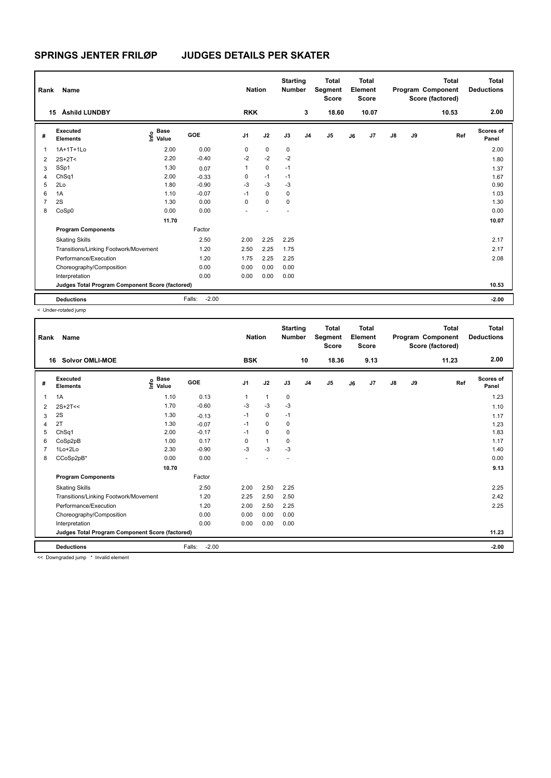| Rank           | Name                                            |                                  |                   | <b>Nation</b>  |             | <b>Starting</b><br><b>Number</b> |                | <b>Total</b><br>Segment<br><b>Score</b> |    | <b>Total</b><br>Element<br><b>Score</b> |               |    | <b>Total</b><br>Program Component<br>Score (factored) | <b>Total</b><br><b>Deductions</b> |
|----------------|-------------------------------------------------|----------------------------------|-------------------|----------------|-------------|----------------------------------|----------------|-----------------------------------------|----|-----------------------------------------|---------------|----|-------------------------------------------------------|-----------------------------------|
| 15             | Åshild LUNDBY                                   |                                  |                   | <b>RKK</b>     |             |                                  | 3              | 18.60                                   |    | 10.07                                   |               |    | 10.53                                                 | 2.00                              |
| #              | Executed<br><b>Elements</b>                     | <b>Base</b><br>e Base<br>⊆ Value | GOE               | J <sub>1</sub> | J2          | J3                               | J <sub>4</sub> | J <sub>5</sub>                          | J6 | J7                                      | $\mathsf{J}8$ | J9 | Ref                                                   | Scores of<br>Panel                |
| $\mathbf{1}$   | 1A+1T+1Lo                                       | 2.00                             | 0.00              | 0              | $\mathbf 0$ | $\mathbf 0$                      |                |                                         |    |                                         |               |    |                                                       | 2.00                              |
| 2              | $2S+2T<$                                        | 2.20                             | $-0.40$           | $-2$           | $-2$        | $-2$                             |                |                                         |    |                                         |               |    |                                                       | 1.80                              |
| 3              | SSp1                                            | 1.30                             | 0.07              | 1              | $\mathbf 0$ | $-1$                             |                |                                         |    |                                         |               |    |                                                       | 1.37                              |
| 4              | Ch <sub>Sq1</sub>                               | 2.00                             | $-0.33$           | 0              | $-1$        | $-1$                             |                |                                         |    |                                         |               |    |                                                       | 1.67                              |
| 5              | 2Lo                                             | 1.80                             | $-0.90$           | $-3$           | $-3$        | $-3$                             |                |                                         |    |                                         |               |    |                                                       | 0.90                              |
| 6              | 1A                                              | 1.10                             | $-0.07$           | $-1$           | 0           | 0                                |                |                                         |    |                                         |               |    |                                                       | 1.03                              |
| $\overline{7}$ | 2S                                              | 1.30                             | 0.00              | 0              | $\mathbf 0$ | 0                                |                |                                         |    |                                         |               |    |                                                       | 1.30                              |
| 8              | CoSp0                                           | 0.00                             | 0.00              | ٠              |             | $\overline{a}$                   |                |                                         |    |                                         |               |    |                                                       | 0.00                              |
|                |                                                 | 11.70                            |                   |                |             |                                  |                |                                         |    |                                         |               |    |                                                       | 10.07                             |
|                | <b>Program Components</b>                       |                                  | Factor            |                |             |                                  |                |                                         |    |                                         |               |    |                                                       |                                   |
|                | <b>Skating Skills</b>                           |                                  | 2.50              | 2.00           | 2.25        | 2.25                             |                |                                         |    |                                         |               |    |                                                       | 2.17                              |
|                | Transitions/Linking Footwork/Movement           |                                  | 1.20              | 2.50           | 2.25        | 1.75                             |                |                                         |    |                                         |               |    |                                                       | 2.17                              |
|                | Performance/Execution                           |                                  | 1.20              | 1.75           | 2.25        | 2.25                             |                |                                         |    |                                         |               |    |                                                       | 2.08                              |
|                | Choreography/Composition                        |                                  | 0.00              | 0.00           | 0.00        | 0.00                             |                |                                         |    |                                         |               |    |                                                       |                                   |
|                | Interpretation                                  |                                  | 0.00              | 0.00           | 0.00        | 0.00                             |                |                                         |    |                                         |               |    |                                                       |                                   |
|                | Judges Total Program Component Score (factored) |                                  |                   |                |             |                                  |                |                                         |    |                                         |               |    |                                                       | 10.53                             |
|                | <b>Deductions</b>                               |                                  | $-2.00$<br>Falls: |                |             |                                  |                |                                         |    |                                         |               |    |                                                       | $-2.00$                           |

< Under-rotated jump

| Rank | <b>Name</b>                                     |                              |                   | <b>Nation</b>  |      | <b>Starting</b><br><b>Number</b> |                | <b>Total</b><br>Segment<br><b>Score</b> |    | <b>Total</b><br>Element<br><b>Score</b> |               |    | <b>Total</b><br>Program Component<br>Score (factored) | <b>Total</b><br><b>Deductions</b> |
|------|-------------------------------------------------|------------------------------|-------------------|----------------|------|----------------------------------|----------------|-----------------------------------------|----|-----------------------------------------|---------------|----|-------------------------------------------------------|-----------------------------------|
|      | 16<br>Solvor OMLI-MOE                           |                              |                   | <b>BSK</b>     |      |                                  | 10             | 18.36                                   |    | 9.13                                    |               |    | 11.23                                                 | 2.00                              |
| #    | Executed<br><b>Elements</b>                     | <b>Base</b><br>١nfo<br>Value | GOE               | J <sub>1</sub> | J2   | J3                               | J <sub>4</sub> | J <sub>5</sub>                          | J6 | J7                                      | $\mathsf{J}8$ | J9 | Ref                                                   | Scores of<br>Panel                |
| 1    | 1A                                              | 1.10                         | 0.13              | 1              | 1    | 0                                |                |                                         |    |                                         |               |    |                                                       | 1.23                              |
| 2    | $2S+2T<<$                                       | 1.70                         | $-0.60$           | $-3$           | $-3$ | $-3$                             |                |                                         |    |                                         |               |    |                                                       | 1.10                              |
| 3    | 2S                                              | 1.30                         | $-0.13$           | $-1$           | 0    | $-1$                             |                |                                         |    |                                         |               |    |                                                       | 1.17                              |
| 4    | 2T                                              | 1.30                         | $-0.07$           | $-1$           | 0    | 0                                |                |                                         |    |                                         |               |    |                                                       | 1.23                              |
| 5    | ChSq1                                           | 2.00                         | $-0.17$           | $-1$           | 0    | 0                                |                |                                         |    |                                         |               |    |                                                       | 1.83                              |
| 6    | CoSp2pB                                         | 1.00                         | 0.17              | 0              | 1    | 0                                |                |                                         |    |                                         |               |    |                                                       | 1.17                              |
|      | 1Lo+2Lo                                         | 2.30                         | $-0.90$           | $-3$           | $-3$ | $-3$                             |                |                                         |    |                                         |               |    |                                                       | 1.40                              |
| 8    | CCoSp2pB*                                       | 0.00                         | 0.00              |                |      |                                  |                |                                         |    |                                         |               |    |                                                       | 0.00                              |
|      |                                                 | 10.70                        |                   |                |      |                                  |                |                                         |    |                                         |               |    |                                                       | 9.13                              |
|      | <b>Program Components</b>                       |                              | Factor            |                |      |                                  |                |                                         |    |                                         |               |    |                                                       |                                   |
|      | <b>Skating Skills</b>                           |                              | 2.50              | 2.00           | 2.50 | 2.25                             |                |                                         |    |                                         |               |    |                                                       | 2.25                              |
|      | Transitions/Linking Footwork/Movement           |                              | 1.20              | 2.25           | 2.50 | 2.50                             |                |                                         |    |                                         |               |    |                                                       | 2.42                              |
|      | Performance/Execution                           |                              | 1.20              | 2.00           | 2.50 | 2.25                             |                |                                         |    |                                         |               |    |                                                       | 2.25                              |
|      | Choreography/Composition                        |                              | 0.00              | 0.00           | 0.00 | 0.00                             |                |                                         |    |                                         |               |    |                                                       |                                   |
|      | Interpretation                                  |                              | 0.00              | 0.00           | 0.00 | 0.00                             |                |                                         |    |                                         |               |    |                                                       |                                   |
|      | Judges Total Program Component Score (factored) |                              |                   |                |      |                                  |                |                                         |    |                                         |               |    |                                                       | 11.23                             |
|      | <b>Deductions</b>                               |                              | $-2.00$<br>Falls: |                |      |                                  |                |                                         |    |                                         |               |    |                                                       | $-2.00$                           |
|      | 22 Doumaraded juga to loughd alamant            |                              |                   |                |      |                                  |                |                                         |    |                                         |               |    |                                                       |                                   |

<< Downgraded jump \* Invalid element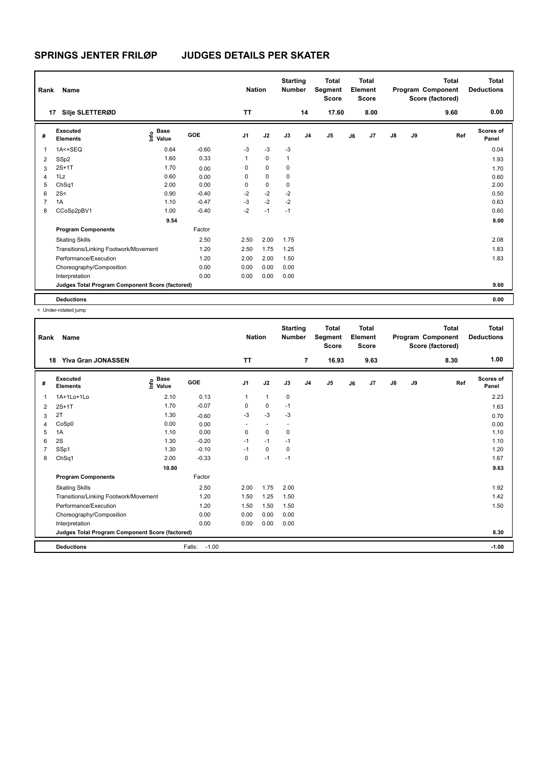| Rank           | <b>Name</b>                                     |                                  |         | <b>Nation</b>  |             | <b>Starting</b><br><b>Number</b> |                | <b>Total</b><br>Segment<br><b>Score</b> |    | <b>Total</b><br>Element<br><b>Score</b> |               |    | <b>Total</b><br>Program Component<br>Score (factored) | <b>Total</b><br><b>Deductions</b> |
|----------------|-------------------------------------------------|----------------------------------|---------|----------------|-------------|----------------------------------|----------------|-----------------------------------------|----|-----------------------------------------|---------------|----|-------------------------------------------------------|-----------------------------------|
| 17             | Silje SLETTERØD                                 |                                  |         | <b>TT</b>      |             |                                  | 14             | 17.60                                   |    | 8.00                                    |               |    | 9.60                                                  | 0.00                              |
| #              | Executed<br><b>Elements</b>                     | <b>Base</b><br>e Base<br>⊆ Value | GOE     | J <sub>1</sub> | J2          | J3                               | J <sub>4</sub> | J <sub>5</sub>                          | J6 | J7                                      | $\mathsf{J}8$ | J9 | Ref                                                   | Scores of<br>Panel                |
| 1              | 1A<+SEQ                                         | 0.64                             | $-0.60$ | $-3$           | $-3$        | $-3$                             |                |                                         |    |                                         |               |    |                                                       | 0.04                              |
| 2              | SSp2                                            | 1.60                             | 0.33    | $\mathbf{1}$   | $\mathbf 0$ | $\mathbf{1}$                     |                |                                         |    |                                         |               |    |                                                       | 1.93                              |
| 3              | $2S+1T$                                         | 1.70                             | 0.00    | 0              | $\mathbf 0$ | 0                                |                |                                         |    |                                         |               |    |                                                       | 1.70                              |
| 4              | 1Lz                                             | 0.60                             | 0.00    | 0              | $\mathbf 0$ | 0                                |                |                                         |    |                                         |               |    |                                                       | 0.60                              |
| 5              | ChSq1                                           | 2.00                             | 0.00    | 0              | $\mathbf 0$ | $\mathbf 0$                      |                |                                         |    |                                         |               |    |                                                       | 2.00                              |
| 6              | 2S<                                             | 0.90                             | $-0.40$ | $-2$           | $-2$        | $-2$                             |                |                                         |    |                                         |               |    |                                                       | 0.50                              |
| $\overline{7}$ | 1A                                              | 1.10                             | $-0.47$ | $-3$           | $-2$        | $-2$                             |                |                                         |    |                                         |               |    |                                                       | 0.63                              |
| 8              | CCoSp2pBV1                                      | 1.00                             | $-0.40$ | $-2$           | $-1$        | $-1$                             |                |                                         |    |                                         |               |    |                                                       | 0.60                              |
|                |                                                 | 9.54                             |         |                |             |                                  |                |                                         |    |                                         |               |    |                                                       | 8.00                              |
|                | <b>Program Components</b>                       |                                  | Factor  |                |             |                                  |                |                                         |    |                                         |               |    |                                                       |                                   |
|                | <b>Skating Skills</b>                           |                                  | 2.50    | 2.50           | 2.00        | 1.75                             |                |                                         |    |                                         |               |    |                                                       | 2.08                              |
|                | Transitions/Linking Footwork/Movement           |                                  | 1.20    | 2.50           | 1.75        | 1.25                             |                |                                         |    |                                         |               |    |                                                       | 1.83                              |
|                | Performance/Execution                           |                                  | 1.20    | 2.00           | 2.00        | 1.50                             |                |                                         |    |                                         |               |    |                                                       | 1.83                              |
|                | Choreography/Composition                        |                                  | 0.00    | 0.00           | 0.00        | 0.00                             |                |                                         |    |                                         |               |    |                                                       |                                   |
|                | Interpretation                                  |                                  | 0.00    | 0.00           | 0.00        | 0.00                             |                |                                         |    |                                         |               |    |                                                       |                                   |
|                | Judges Total Program Component Score (factored) |                                  |         |                |             |                                  |                |                                         |    |                                         |               |    |                                                       | 9.60                              |
|                | <b>Deductions</b>                               |                                  |         |                |             |                                  |                |                                         |    |                                         |               |    |                                                       | 0.00                              |

< Under-rotated jump

| Rank | Name                                            |                              |                   | <b>Nation</b>  |              | <b>Starting</b><br><b>Number</b> |                | <b>Total</b><br>Segment<br><b>Score</b> |    | <b>Total</b><br>Element<br><b>Score</b> |               |    | <b>Total</b><br>Program Component<br>Score (factored) | <b>Total</b><br><b>Deductions</b> |
|------|-------------------------------------------------|------------------------------|-------------------|----------------|--------------|----------------------------------|----------------|-----------------------------------------|----|-----------------------------------------|---------------|----|-------------------------------------------------------|-----------------------------------|
|      | <b>Ylva Gran JONASSEN</b><br>18                 |                              |                   | <b>TT</b>      |              |                                  | $\overline{7}$ | 16.93                                   |    | 9.63                                    |               |    | 8.30                                                  | 1.00                              |
| #    | Executed<br><b>Elements</b>                     | <b>Base</b><br>١nf٥<br>Value | <b>GOE</b>        | J <sub>1</sub> | J2           | J3                               | J <sub>4</sub> | J <sub>5</sub>                          | J6 | J7                                      | $\mathsf{J}8$ | J9 | Ref                                                   | Scores of<br>Panel                |
| 1    | 1A+1Lo+1Lo                                      | 2.10                         | 0.13              | 1              | $\mathbf{1}$ | $\mathbf 0$                      |                |                                         |    |                                         |               |    |                                                       | 2.23                              |
| 2    | $2S+1T$                                         | 1.70                         | $-0.07$           | $\Omega$       | 0            | $-1$                             |                |                                         |    |                                         |               |    |                                                       | 1.63                              |
| 3    | 2T                                              | 1.30                         | $-0.60$           | $-3$           | $-3$         | $-3$                             |                |                                         |    |                                         |               |    |                                                       | 0.70                              |
| 4    | CoSp0                                           | 0.00                         | 0.00              |                |              |                                  |                |                                         |    |                                         |               |    |                                                       | 0.00                              |
| 5    | 1A                                              | 1.10                         | 0.00              | 0              | 0            | 0                                |                |                                         |    |                                         |               |    |                                                       | 1.10                              |
| 6    | 2S                                              | 1.30                         | $-0.20$           | $-1$           | $-1$         | $-1$                             |                |                                         |    |                                         |               |    |                                                       | 1.10                              |
| 7    | SSp1                                            | 1.30                         | $-0.10$           | $-1$           | 0            | $\mathbf 0$                      |                |                                         |    |                                         |               |    |                                                       | 1.20                              |
| 8    | ChSq1                                           | 2.00                         | $-0.33$           | $\Omega$       | $-1$         | $-1$                             |                |                                         |    |                                         |               |    |                                                       | 1.67                              |
|      |                                                 | 10.80                        |                   |                |              |                                  |                |                                         |    |                                         |               |    |                                                       | 9.63                              |
|      | <b>Program Components</b>                       |                              | Factor            |                |              |                                  |                |                                         |    |                                         |               |    |                                                       |                                   |
|      | <b>Skating Skills</b>                           |                              | 2.50              | 2.00           | 1.75         | 2.00                             |                |                                         |    |                                         |               |    |                                                       | 1.92                              |
|      | Transitions/Linking Footwork/Movement           |                              | 1.20              | 1.50           | 1.25         | 1.50                             |                |                                         |    |                                         |               |    |                                                       | 1.42                              |
|      | Performance/Execution                           |                              | 1.20              | 1.50           | 1.50         | 1.50                             |                |                                         |    |                                         |               |    |                                                       | 1.50                              |
|      | Choreography/Composition                        |                              | 0.00              | 0.00           | 0.00         | 0.00                             |                |                                         |    |                                         |               |    |                                                       |                                   |
|      | Interpretation                                  |                              | 0.00              | 0.00           | 0.00         | 0.00                             |                |                                         |    |                                         |               |    |                                                       |                                   |
|      | Judges Total Program Component Score (factored) |                              |                   |                |              |                                  |                |                                         |    |                                         |               |    |                                                       | 8.30                              |
|      | <b>Deductions</b>                               |                              | $-1.00$<br>Falls: |                |              |                                  |                |                                         |    |                                         |               |    |                                                       | $-1.00$                           |
|      |                                                 |                              |                   |                |              |                                  |                |                                         |    |                                         |               |    |                                                       |                                   |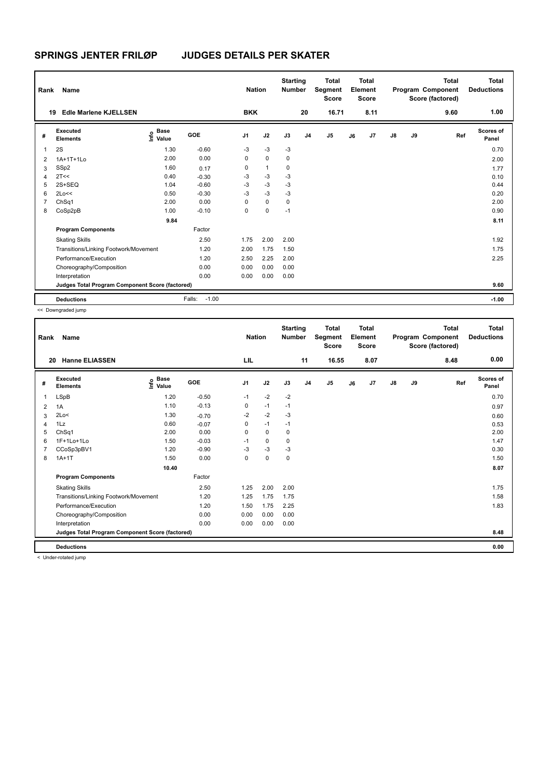| Rank           | <b>Name</b>                                     |                                  |                   | <b>Nation</b>  |              | <b>Starting</b><br><b>Number</b> |                | <b>Total</b><br>Segment<br><b>Score</b> |    | <b>Total</b><br>Element<br><b>Score</b> |               |    | <b>Total</b><br>Program Component<br>Score (factored) | <b>Total</b><br><b>Deductions</b> |
|----------------|-------------------------------------------------|----------------------------------|-------------------|----------------|--------------|----------------------------------|----------------|-----------------------------------------|----|-----------------------------------------|---------------|----|-------------------------------------------------------|-----------------------------------|
| 19             | <b>Edle Marlene KJELLSEN</b>                    |                                  |                   | <b>BKK</b>     |              |                                  | 20             | 16.71                                   |    | 8.11                                    |               |    | 9.60                                                  | 1.00                              |
| #              | Executed<br><b>Elements</b>                     | <b>Base</b><br>o Base<br>⊆ Value | GOE               | J <sub>1</sub> | J2           | J3                               | J <sub>4</sub> | J <sub>5</sub>                          | J6 | J7                                      | $\mathsf{J}8$ | J9 | Ref                                                   | Scores of<br>Panel                |
| 1              | 2S                                              | 1.30                             | $-0.60$           | $-3$           | $-3$         | $-3$                             |                |                                         |    |                                         |               |    |                                                       | 0.70                              |
| $\overline{2}$ | 1A+1T+1Lo                                       | 2.00                             | 0.00              | $\mathbf 0$    | $\mathbf 0$  | $\mathbf 0$                      |                |                                         |    |                                         |               |    |                                                       | 2.00                              |
| 3              | SSp2                                            | 1.60                             | 0.17              | 0              | $\mathbf{1}$ | 0                                |                |                                         |    |                                         |               |    |                                                       | 1.77                              |
| 4              | 2T<<                                            | 0.40                             | $-0.30$           | -3             | $-3$         | $-3$                             |                |                                         |    |                                         |               |    |                                                       | 0.10                              |
| 5              | $2S+SEQ$                                        | 1.04                             | $-0.60$           | $-3$           | $-3$         | $-3$                             |                |                                         |    |                                         |               |    |                                                       | 0.44                              |
| 6              | 2Lo<<                                           | 0.50                             | $-0.30$           | $-3$           | $-3$         | -3                               |                |                                         |    |                                         |               |    |                                                       | 0.20                              |
| 7              | ChSq1                                           | 2.00                             | 0.00              | 0              | $\mathbf 0$  | 0                                |                |                                         |    |                                         |               |    |                                                       | 2.00                              |
| 8              | CoSp2pB                                         | 1.00                             | $-0.10$           | 0              | $\mathbf 0$  | $-1$                             |                |                                         |    |                                         |               |    |                                                       | 0.90                              |
|                |                                                 | 9.84                             |                   |                |              |                                  |                |                                         |    |                                         |               |    |                                                       | 8.11                              |
|                | <b>Program Components</b>                       |                                  | Factor            |                |              |                                  |                |                                         |    |                                         |               |    |                                                       |                                   |
|                | <b>Skating Skills</b>                           |                                  | 2.50              | 1.75           | 2.00         | 2.00                             |                |                                         |    |                                         |               |    |                                                       | 1.92                              |
|                | Transitions/Linking Footwork/Movement           |                                  | 1.20              | 2.00           | 1.75         | 1.50                             |                |                                         |    |                                         |               |    |                                                       | 1.75                              |
|                | Performance/Execution                           |                                  | 1.20              | 2.50           | 2.25         | 2.00                             |                |                                         |    |                                         |               |    |                                                       | 2.25                              |
|                | Choreography/Composition                        |                                  | 0.00              | 0.00           | 0.00         | 0.00                             |                |                                         |    |                                         |               |    |                                                       |                                   |
|                | Interpretation                                  |                                  | 0.00              | 0.00           | 0.00         | 0.00                             |                |                                         |    |                                         |               |    |                                                       |                                   |
|                | Judges Total Program Component Score (factored) |                                  |                   |                |              |                                  |                |                                         |    |                                         |               |    |                                                       | 9.60                              |
|                | <b>Deductions</b>                               |                                  | $-1.00$<br>Falls: |                |              |                                  |                |                                         |    |                                         |               |    |                                                       | $-1.00$                           |

<< Downgraded jump

| Rank | Name                                            |                   |         | <b>Nation</b>  |             | <b>Starting</b><br><b>Number</b> |                | <b>Total</b><br>Segment<br><b>Score</b> |    | <b>Total</b><br>Element<br><b>Score</b> |               |    | <b>Total</b><br>Program Component<br>Score (factored) | <b>Total</b><br><b>Deductions</b> |
|------|-------------------------------------------------|-------------------|---------|----------------|-------------|----------------------------------|----------------|-----------------------------------------|----|-----------------------------------------|---------------|----|-------------------------------------------------------|-----------------------------------|
| 20   | <b>Hanne ELIASSEN</b>                           |                   |         | LIL            |             |                                  | 11             | 16.55                                   |    | 8.07                                    |               |    | 8.48                                                  | 0.00                              |
| #    | Executed<br><b>Elements</b>                     | e Base<br>E Value | GOE     | J <sub>1</sub> | J2          | J3                               | J <sub>4</sub> | J5                                      | J6 | J7                                      | $\mathsf{J}8$ | J9 | Ref                                                   | Scores of<br>Panel                |
| 1    | LSpB                                            | 1.20              | $-0.50$ | $-1$           | $-2$        | $-2$                             |                |                                         |    |                                         |               |    |                                                       | 0.70                              |
| 2    | 1A                                              | 1.10              | $-0.13$ | 0              | $-1$        | $-1$                             |                |                                         |    |                                         |               |    |                                                       | 0.97                              |
| 3    | 2Lo<                                            | 1.30              | $-0.70$ | $-2$           | $-2$        | $-3$                             |                |                                         |    |                                         |               |    |                                                       | 0.60                              |
| 4    | 1Lz                                             | 0.60              | $-0.07$ | 0              | $-1$        | $-1$                             |                |                                         |    |                                         |               |    |                                                       | 0.53                              |
| 5    | ChSq1                                           | 2.00              | 0.00    | $\Omega$       | $\Omega$    | 0                                |                |                                         |    |                                         |               |    |                                                       | 2.00                              |
| 6    | $1F+1Lo+1Lo$                                    | 1.50              | $-0.03$ | $-1$           | $\mathbf 0$ | $\mathbf 0$                      |                |                                         |    |                                         |               |    |                                                       | 1.47                              |
| 7    | CCoSp3pBV1                                      | 1.20              | $-0.90$ | $-3$           | $-3$        | $-3$                             |                |                                         |    |                                         |               |    |                                                       | 0.30                              |
| 8    | $1A+1T$                                         | 1.50              | 0.00    | 0              | $\mathbf 0$ | $\mathbf 0$                      |                |                                         |    |                                         |               |    |                                                       | 1.50                              |
|      |                                                 | 10.40             |         |                |             |                                  |                |                                         |    |                                         |               |    |                                                       | 8.07                              |
|      | <b>Program Components</b>                       |                   | Factor  |                |             |                                  |                |                                         |    |                                         |               |    |                                                       |                                   |
|      | <b>Skating Skills</b>                           |                   | 2.50    | 1.25           | 2.00        | 2.00                             |                |                                         |    |                                         |               |    |                                                       | 1.75                              |
|      | Transitions/Linking Footwork/Movement           |                   | 1.20    | 1.25           | 1.75        | 1.75                             |                |                                         |    |                                         |               |    |                                                       | 1.58                              |
|      | Performance/Execution                           |                   | 1.20    | 1.50           | 1.75        | 2.25                             |                |                                         |    |                                         |               |    |                                                       | 1.83                              |
|      | Choreography/Composition                        |                   | 0.00    | 0.00           | 0.00        | 0.00                             |                |                                         |    |                                         |               |    |                                                       |                                   |
|      | Interpretation                                  |                   | 0.00    | 0.00           | 0.00        | 0.00                             |                |                                         |    |                                         |               |    |                                                       |                                   |
|      | Judges Total Program Component Score (factored) |                   |         |                |             |                                  |                |                                         |    |                                         |               |    |                                                       | 8.48                              |
|      | <b>Deductions</b>                               |                   |         |                |             |                                  |                |                                         |    |                                         |               |    |                                                       | 0.00                              |

< Under-rotated jump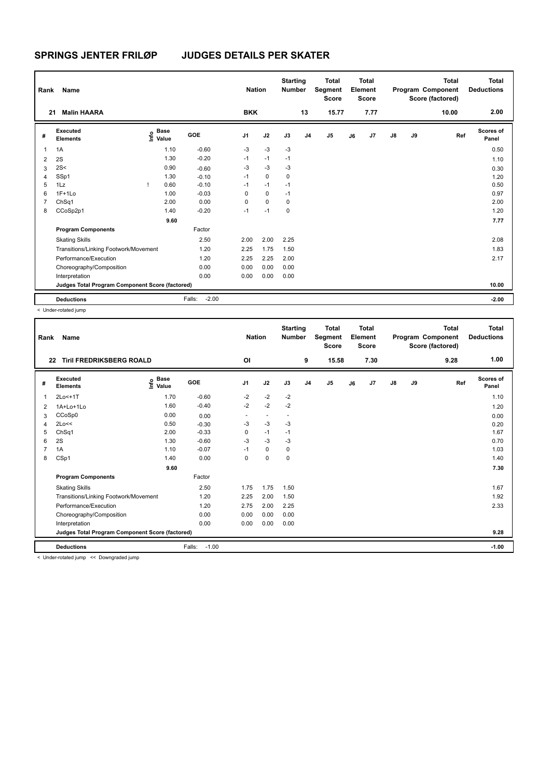| Rank           | Name                                            |      |                      |                   | <b>Nation</b>  |             | <b>Starting</b><br><b>Number</b> |                | <b>Total</b><br>Segment<br><b>Score</b> |    | Total<br>Element<br><b>Score</b> |               |    | <b>Total</b><br>Program Component<br>Score (factored) | <b>Total</b><br><b>Deductions</b> |
|----------------|-------------------------------------------------|------|----------------------|-------------------|----------------|-------------|----------------------------------|----------------|-----------------------------------------|----|----------------------------------|---------------|----|-------------------------------------------------------|-----------------------------------|
| 21             | <b>Malin HAARA</b>                              |      |                      |                   | <b>BKK</b>     |             |                                  | 13             | 15.77                                   |    | 7.77                             |               |    | 10.00                                                 | 2.00                              |
| #              | Executed<br><b>Elements</b>                     | lnfo | <b>Base</b><br>Value | <b>GOE</b>        | J <sub>1</sub> | J2          | J3                               | J <sub>4</sub> | J5                                      | J6 | J7                               | $\mathsf{J}8$ | J9 | Ref                                                   | Scores of<br>Panel                |
| $\mathbf 1$    | 1A                                              |      | 1.10                 | $-0.60$           | $-3$           | $-3$        | $-3$                             |                |                                         |    |                                  |               |    |                                                       | 0.50                              |
| $\overline{2}$ | 2S                                              |      | 1.30                 | $-0.20$           | $-1$           | $-1$        | $-1$                             |                |                                         |    |                                  |               |    |                                                       | 1.10                              |
| 3              | 2S<                                             |      | 0.90                 | $-0.60$           | $-3$           | $-3$        | $-3$                             |                |                                         |    |                                  |               |    |                                                       | 0.30                              |
| 4              | SSp1                                            |      | 1.30                 | $-0.10$           | $-1$           | $\mathbf 0$ | 0                                |                |                                         |    |                                  |               |    |                                                       | 1.20                              |
| 5              | 1Lz                                             |      | 0.60                 | $-0.10$           | $-1$           | $-1$        | $-1$                             |                |                                         |    |                                  |               |    |                                                       | 0.50                              |
| 6              | $1F+1Lo$                                        |      | 1.00                 | $-0.03$           | 0              | $\mathbf 0$ | $-1$                             |                |                                         |    |                                  |               |    |                                                       | 0.97                              |
| 7              | ChSq1                                           |      | 2.00                 | 0.00              | 0              | $\mathbf 0$ | 0                                |                |                                         |    |                                  |               |    |                                                       | 2.00                              |
| 8              | CCoSp2p1                                        |      | 1.40                 | $-0.20$           | $-1$           | $-1$        | 0                                |                |                                         |    |                                  |               |    |                                                       | 1.20                              |
|                |                                                 |      | 9.60                 |                   |                |             |                                  |                |                                         |    |                                  |               |    |                                                       | 7.77                              |
|                | <b>Program Components</b>                       |      |                      | Factor            |                |             |                                  |                |                                         |    |                                  |               |    |                                                       |                                   |
|                | <b>Skating Skills</b>                           |      |                      | 2.50              | 2.00           | 2.00        | 2.25                             |                |                                         |    |                                  |               |    |                                                       | 2.08                              |
|                | Transitions/Linking Footwork/Movement           |      |                      | 1.20              | 2.25           | 1.75        | 1.50                             |                |                                         |    |                                  |               |    |                                                       | 1.83                              |
|                | Performance/Execution                           |      |                      | 1.20              | 2.25           | 2.25        | 2.00                             |                |                                         |    |                                  |               |    |                                                       | 2.17                              |
|                | Choreography/Composition                        |      |                      | 0.00              | 0.00           | 0.00        | 0.00                             |                |                                         |    |                                  |               |    |                                                       |                                   |
|                | Interpretation                                  |      |                      | 0.00              | 0.00           | 0.00        | 0.00                             |                |                                         |    |                                  |               |    |                                                       |                                   |
|                | Judges Total Program Component Score (factored) |      |                      |                   |                |             |                                  |                |                                         |    |                                  |               |    |                                                       | 10.00                             |
|                | <b>Deductions</b>                               |      |                      | $-2.00$<br>Falls: |                |             |                                  |                |                                         |    |                                  |               |    |                                                       | $-2.00$                           |

< Under-rotated jump

| Rank | Name                                            |                                           |                   | <b>Nation</b>  |                          | <b>Starting</b><br><b>Number</b> |                | <b>Total</b><br>Segment<br><b>Score</b> |    | <b>Total</b><br>Element<br><b>Score</b> |               |    | <b>Total</b><br>Program Component<br>Score (factored) | <b>Total</b><br><b>Deductions</b> |
|------|-------------------------------------------------|-------------------------------------------|-------------------|----------------|--------------------------|----------------------------------|----------------|-----------------------------------------|----|-----------------------------------------|---------------|----|-------------------------------------------------------|-----------------------------------|
| 22   | <b>Tiril FREDRIKSBERG ROALD</b>                 |                                           |                   | <b>OI</b>      |                          |                                  | 9              | 15.58                                   |    | 7.30                                    |               |    | 9.28                                                  | 1.00                              |
| #    | Executed<br><b>Elements</b>                     | $\frac{e}{E}$ Base<br>$\frac{E}{E}$ Value | <b>GOE</b>        | J <sub>1</sub> | J2                       | J3                               | J <sub>4</sub> | J5                                      | J6 | J7                                      | $\mathsf{J}8$ | J9 | Ref                                                   | Scores of<br>Panel                |
| 1    | 2Lo<+1T                                         | 1.70                                      | $-0.60$           | $-2$           | $-2$                     | $-2$                             |                |                                         |    |                                         |               |    |                                                       | 1.10                              |
| 2    | 1A+Lo+1Lo                                       | 1.60                                      | $-0.40$           | $-2$           | $-2$                     | $-2$                             |                |                                         |    |                                         |               |    |                                                       | 1.20                              |
| 3    | CCoSp0                                          | 0.00                                      | 0.00              |                | $\overline{\phantom{a}}$ | $\overline{\phantom{a}}$         |                |                                         |    |                                         |               |    |                                                       | 0.00                              |
| 4    | 2Lo<<                                           | 0.50                                      | $-0.30$           | $-3$           | $-3$                     | $-3$                             |                |                                         |    |                                         |               |    |                                                       | 0.20                              |
| 5    | ChSq1                                           | 2.00                                      | $-0.33$           | 0              | $-1$                     | $-1$                             |                |                                         |    |                                         |               |    |                                                       | 1.67                              |
| 6    | 2S                                              | 1.30                                      | $-0.60$           | $-3$           | $-3$                     | -3                               |                |                                         |    |                                         |               |    |                                                       | 0.70                              |
| 7    | 1A                                              | 1.10                                      | $-0.07$           | $-1$           | $\mathbf 0$              | $\mathbf 0$                      |                |                                         |    |                                         |               |    |                                                       | 1.03                              |
| 8    | CSp1                                            | 1.40                                      | 0.00              | 0              | $\pmb{0}$                | 0                                |                |                                         |    |                                         |               |    |                                                       | 1.40                              |
|      |                                                 | 9.60                                      |                   |                |                          |                                  |                |                                         |    |                                         |               |    |                                                       | 7.30                              |
|      | <b>Program Components</b>                       |                                           | Factor            |                |                          |                                  |                |                                         |    |                                         |               |    |                                                       |                                   |
|      | <b>Skating Skills</b>                           |                                           | 2.50              | 1.75           | 1.75                     | 1.50                             |                |                                         |    |                                         |               |    |                                                       | 1.67                              |
|      | Transitions/Linking Footwork/Movement           |                                           | 1.20              | 2.25           | 2.00                     | 1.50                             |                |                                         |    |                                         |               |    |                                                       | 1.92                              |
|      | Performance/Execution                           |                                           | 1.20              | 2.75           | 2.00                     | 2.25                             |                |                                         |    |                                         |               |    |                                                       | 2.33                              |
|      | Choreography/Composition                        |                                           | 0.00              | 0.00           | 0.00                     | 0.00                             |                |                                         |    |                                         |               |    |                                                       |                                   |
|      | Interpretation                                  |                                           | 0.00              | 0.00           | 0.00                     | 0.00                             |                |                                         |    |                                         |               |    |                                                       |                                   |
|      | Judges Total Program Component Score (factored) |                                           |                   |                |                          |                                  |                |                                         |    |                                         |               |    |                                                       | 9.28                              |
|      | <b>Deductions</b>                               |                                           | Falls:<br>$-1.00$ |                |                          |                                  |                |                                         |    |                                         |               |    |                                                       | $-1.00$                           |
|      | a Heder retated irons as Deumareded irons       |                                           |                   |                |                          |                                  |                |                                         |    |                                         |               |    |                                                       |                                   |

< Under-rotated jump << Downgraded jump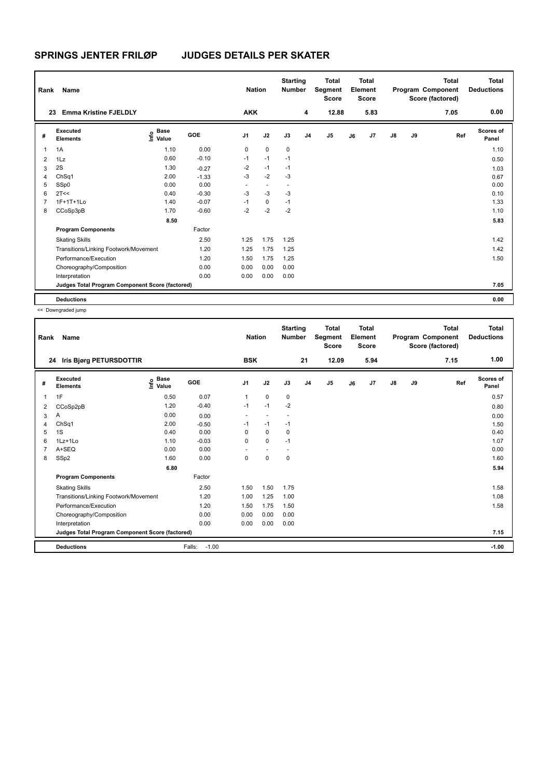| Rank           | <b>Name</b>                                     |                                  |         | <b>Nation</b>  |                          | <b>Starting</b><br><b>Number</b> |    | <b>Total</b><br>Segment<br><b>Score</b> |    | <b>Total</b><br>Element<br><b>Score</b> |               |    | <b>Total</b><br>Program Component<br>Score (factored) | <b>Total</b><br><b>Deductions</b> |
|----------------|-------------------------------------------------|----------------------------------|---------|----------------|--------------------------|----------------------------------|----|-----------------------------------------|----|-----------------------------------------|---------------|----|-------------------------------------------------------|-----------------------------------|
| 23             | <b>Emma Kristine FJELDLY</b>                    |                                  |         | <b>AKK</b>     |                          |                                  | 4  | 12.88                                   |    | 5.83                                    |               |    | 7.05                                                  | 0.00                              |
| #              | Executed<br><b>Elements</b>                     | <b>Base</b><br>o Base<br>⊆ Value | GOE     | J <sub>1</sub> | J2                       | J3                               | J4 | J <sub>5</sub>                          | J6 | J7                                      | $\mathsf{J}8$ | J9 | Ref                                                   | <b>Scores of</b><br>Panel         |
| 1              | 1A                                              | 1.10                             | 0.00    | 0              | $\mathbf 0$              | $\mathbf 0$                      |    |                                         |    |                                         |               |    |                                                       | 1.10                              |
| $\overline{2}$ | 1Lz                                             | 0.60                             | $-0.10$ | $-1$           | $-1$                     | $-1$                             |    |                                         |    |                                         |               |    |                                                       | 0.50                              |
| 3              | 2S                                              | 1.30                             | $-0.27$ | $-2$           | $-1$                     | $-1$                             |    |                                         |    |                                         |               |    |                                                       | 1.03                              |
| 4              | ChSq1                                           | 2.00                             | $-1.33$ | $-3$           | $-2$                     | $-3$                             |    |                                         |    |                                         |               |    |                                                       | 0.67                              |
| 5              | SSp0                                            | 0.00                             | 0.00    | ٠              | $\overline{\phantom{a}}$ | $\overline{a}$                   |    |                                         |    |                                         |               |    |                                                       | 0.00                              |
| 6              | 2T<<                                            | 0.40                             | $-0.30$ | $-3$           | $-3$                     | $-3$                             |    |                                         |    |                                         |               |    |                                                       | 0.10                              |
| $\overline{7}$ | $1F+1T+1L0$                                     | 1.40                             | $-0.07$ | $-1$           | $\mathbf 0$              | $-1$                             |    |                                         |    |                                         |               |    |                                                       | 1.33                              |
| 8              | CCoSp3pB                                        | 1.70                             | $-0.60$ | $-2$           | $-2$                     | $-2$                             |    |                                         |    |                                         |               |    |                                                       | 1.10                              |
|                |                                                 | 8.50                             |         |                |                          |                                  |    |                                         |    |                                         |               |    |                                                       | 5.83                              |
|                | <b>Program Components</b>                       |                                  | Factor  |                |                          |                                  |    |                                         |    |                                         |               |    |                                                       |                                   |
|                | <b>Skating Skills</b>                           |                                  | 2.50    | 1.25           | 1.75                     | 1.25                             |    |                                         |    |                                         |               |    |                                                       | 1.42                              |
|                | Transitions/Linking Footwork/Movement           |                                  | 1.20    | 1.25           | 1.75                     | 1.25                             |    |                                         |    |                                         |               |    |                                                       | 1.42                              |
|                | Performance/Execution                           |                                  | 1.20    | 1.50           | 1.75                     | 1.25                             |    |                                         |    |                                         |               |    |                                                       | 1.50                              |
|                | Choreography/Composition                        |                                  | 0.00    | 0.00           | 0.00                     | 0.00                             |    |                                         |    |                                         |               |    |                                                       |                                   |
|                | Interpretation                                  |                                  | 0.00    | 0.00           | 0.00                     | 0.00                             |    |                                         |    |                                         |               |    |                                                       |                                   |
|                | Judges Total Program Component Score (factored) |                                  |         |                |                          |                                  |    |                                         |    |                                         |               |    |                                                       | 7.05                              |
|                | <b>Deductions</b>                               |                                  |         |                |                          |                                  |    |                                         |    |                                         |               |    |                                                       | 0.00                              |

<< Downgraded jump

| Rank | Name                                            |                                  |                   | <b>Nation</b>            |             | <b>Starting</b><br><b>Number</b> |                | <b>Total</b><br>Segment<br><b>Score</b> |    | Total<br>Element<br><b>Score</b> |               |    | <b>Total</b><br>Program Component<br>Score (factored) | Total<br><b>Deductions</b> |
|------|-------------------------------------------------|----------------------------------|-------------------|--------------------------|-------------|----------------------------------|----------------|-----------------------------------------|----|----------------------------------|---------------|----|-------------------------------------------------------|----------------------------|
| 24   | Iris Bjørg PETURSDOTTIR                         |                                  |                   | <b>BSK</b>               |             |                                  | 21             | 12.09                                   |    | 5.94                             |               |    | 7.15                                                  | 1.00                       |
| #    | Executed<br><b>Elements</b>                     | <b>Base</b><br>e Base<br>E Value | <b>GOE</b>        | J <sub>1</sub>           | J2          | J3                               | J <sub>4</sub> | J5                                      | J6 | J7                               | $\mathsf{J}8$ | J9 | Ref                                                   | Scores of<br>Panel         |
| 1    | 1F                                              | 0.50                             | 0.07              | 1                        | $\mathbf 0$ | 0                                |                |                                         |    |                                  |               |    |                                                       | 0.57                       |
| 2    | CCoSp2pB                                        | 1.20                             | $-0.40$           | $-1$                     | $-1$        | $-2$                             |                |                                         |    |                                  |               |    |                                                       | 0.80                       |
| 3    | Α                                               | 0.00                             | 0.00              | $\overline{\phantom{a}}$ | $\sim$      | $\overline{\phantom{a}}$         |                |                                         |    |                                  |               |    |                                                       | 0.00                       |
| 4    | ChSq1                                           | 2.00                             | $-0.50$           | $-1$                     | $-1$        | $-1$                             |                |                                         |    |                                  |               |    |                                                       | 1.50                       |
| 5    | 1S                                              | 0.40                             | 0.00              | 0                        | $\mathbf 0$ | 0                                |                |                                         |    |                                  |               |    |                                                       | 0.40                       |
| 6    | $1Lz+1Lo$                                       | 1.10                             | $-0.03$           | $\Omega$                 | $\Omega$    | $-1$                             |                |                                         |    |                                  |               |    |                                                       | 1.07                       |
| 7    | A+SEQ                                           | 0.00                             | 0.00              |                          | $\sim$      |                                  |                |                                         |    |                                  |               |    |                                                       | 0.00                       |
| 8    | SSp2                                            | 1.60                             | 0.00              | 0                        | $\mathbf 0$ | 0                                |                |                                         |    |                                  |               |    |                                                       | 1.60                       |
|      |                                                 | 6.80                             |                   |                          |             |                                  |                |                                         |    |                                  |               |    |                                                       | 5.94                       |
|      | <b>Program Components</b>                       |                                  | Factor            |                          |             |                                  |                |                                         |    |                                  |               |    |                                                       |                            |
|      | <b>Skating Skills</b>                           |                                  | 2.50              | 1.50                     | 1.50        | 1.75                             |                |                                         |    |                                  |               |    |                                                       | 1.58                       |
|      | Transitions/Linking Footwork/Movement           |                                  | 1.20              | 1.00                     | 1.25        | 1.00                             |                |                                         |    |                                  |               |    |                                                       | 1.08                       |
|      | Performance/Execution                           |                                  | 1.20              | 1.50                     | 1.75        | 1.50                             |                |                                         |    |                                  |               |    |                                                       | 1.58                       |
|      | Choreography/Composition                        |                                  | 0.00              | 0.00                     | 0.00        | 0.00                             |                |                                         |    |                                  |               |    |                                                       |                            |
|      | Interpretation                                  |                                  | 0.00              | 0.00                     | 0.00        | 0.00                             |                |                                         |    |                                  |               |    |                                                       |                            |
|      | Judges Total Program Component Score (factored) |                                  |                   |                          |             |                                  |                |                                         |    |                                  |               |    |                                                       | 7.15                       |
|      | <b>Deductions</b>                               |                                  | $-1.00$<br>Falls: |                          |             |                                  |                |                                         |    |                                  |               |    |                                                       | $-1.00$                    |